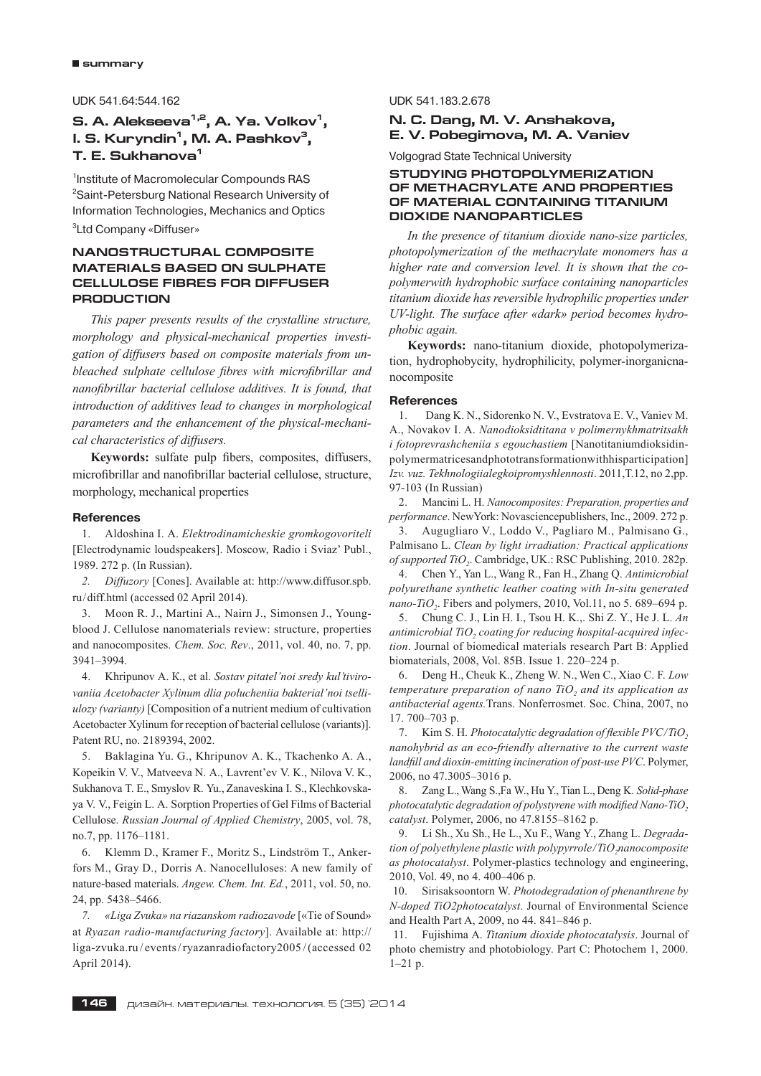UDK 541.64:544.162

# **S. A. Alekseeva<sup>1,2</sup>, A. Ya. Volkov<sup>1</sup>, I. S. Kuryndin<sup>1</sup>, M. A. Pashkov<sup>3</sup>, Ò. Å. Sukhanova1**

1 Institute of Macromolecular Compounds RAS <sup>2</sup>Saint-Petersburg National Research University of Information Technologies, Mechanics and Optics

3 Ltd Company «Diffuser»

# **NANOSTRUCTURAL COMPOSITE MATERIALS BASED ON SULPHATE CELLULOSE FIBRES FOR DIFFUSER PRODUCTION**

*This paper presents results of the crystalline structure, morphology and physical-mechanical properties investigation of diffusers based on composite materials from unbleached sulphate cellulose fibres with microfibrillar and nanofibrillar bacterial cellulose additives. It is found, that introduction of additives lead to changes in morphological parameters and the enhancement of the physical-mechanical characteristics of diffusers.*

Keywords: sulfate pulp fibers, composites, diffusers, microfibrillar and nanofibrillar bacterial cellulose, structure, morphology, mechanical properties

#### **References**

1. Aldoshina I. A. *Elektrodinamicheskie gromkogovoriteli*  [Electrodynamic loudspeakers]. Moscow, Radio i Sviaz' Publ., 1989. 272 p. (In Russian).

*2. Diffuzory* [Cones]. Available at: http://www.diffusor.spb. ru/diff.html (accessed 02 April 2014).

3. Moon R. J., Martini A., Nairn J., Simonsen J., Youngblood J. Cellulose nanomaterials review: structure, properties and nanocomposites. *Chem. Soc. Rev*., 2011, vol. 40, no. 7, pp. 3941–3994.

4. Khripunov А. К., et al. *Sostav pitatel'noi sredy kul'tivirovaniia Acetobacter Xylinum dlia polucheniia bakterial'noi tselliulozy (varianty)* [Composition of a nutrient medium of cultivation Acetobacter Xylinum for reception of bacterial cellulose (variants)]. Patent RU, no. 2189394, 2002.

5. Baklagina Yu. G., Khripunov A. K., Tkachenko A. A., Kopeikin V. V., Matveeva N. A., Lavrent'ev V. K., Nilova V. K., Sukhanova T. E., Smyslov R. Yu., Zanaveskina I. S., Klechkovskaya V. V., Feigin L. A. Sorption Properties of Gel Films of Bacterial Cellulose. *Russian Journal of Applied Chemistry*, 2005, vol. 78, no.7, pp. 1176–1181.

6. Klemm D., Kramer F., Moritz S., Lindström T., Ankerfors M., Gray D., Dorris A. Nanocelluloses: A new family of nature-based materials. *Angew. Chem. Int. Ed.*, 2011, vol. 50, no. 24, pp. 5438–5466.

*7. «Liga Zvuka» na riazanskom radiozavode* [«Tie of Sound» at *Ryazan radio*-*manufacturing factory*]. Available at: http:// liga-zvuka.ru / events/ryazanradiofactory2005 /(accessed 02 April 2014).

#### UDK 541.183.2.678

# **N. C. Dang, M. V. Anshakova, E. V. Pobegimova, M. A. Vaniev**

Volgograd State Technical University

# **STUDYING PHOTOPOLYMERIZATION OF METHACRYLATE AND PROPERTIES OF MATERIAL CONTAINING TITANIUM DIOXIDE NANOPARTICLES**

*In the presence of titanium dioxide nano-size particles, photopolymerization of the methacrylate monomers has a higher rate and conversion level. It is shown that the copolymerwith hydrophobic surface containing nanoparticles titanium dioxide has reversible hydrophilic properties under UV-light. The surface after «dark» period becomes hydrophobic again.*

**Keywords:** nano-titanium dioxide, photopolymerization, hydrophobycity, hydrophilicity, polymer-inorganicnanocomposite

#### **References**

1. Dang K. N., Sidorenko N. V., Evstratova E. V., Vaniev M. A., Novakov I. A. *Nanodioksidtitana v polimernykhmatritsakh i fotoprevrashcheniia s egouchastiem* [Nanotitaniumdioksidinpolymermatricesandphototransformationwithhisparticipation] *Izv. vuz. Tekhnologiialegkoipromyshlennosti*. 2011,Т.12, no 2,pp. 97-103 (In Russian)

2. Mancini L. H. *Nanocomposites: Preparation, properties and performance*. NewYork: Novasciencepublishers, Inc., 2009. 272 p.

3. Augugliaro V., Loddo V., Pagliaro M., Palmisano G., Palmisano L. *Clean by light irradiation: Practical applications of supported TiO<sub>2</sub>*. Cambridge, UK.: RSC Publishing, 2010. 282p.

4. Chen Y., Yan L., Wang R., Fan H., Zhang Q. *Antimicrobial polyurethane synthetic leather coating with In-situ generated*   $nano-TiO<sub>2</sub>$ . Fibers and polymers, 2010, Vol.11, no 5. 689–694 p.

5. Chung C. J., Lin H. I., Tsou H. K.,. Shi Z. Y., He J. L. *An*  antimicrobial TiO<sub>2</sub> coating for reducing hospital-acquired infec*tion*. Journal of biomedical materials research Part B: Applied biomaterials, 2008, Vol. 85B. Issue 1. 220–224 p.

6. Deng H., Cheuk K., Zheng W. N., Wen C., Xiao C. F. *Low temperature preparation of nano TiO<sub>2</sub> and its application as antibacterial agents.*Trans. Nonferrosmet. Soc. China, 2007, no 17. 700–703 p.

7. Kim S. H. *Photocatalytic degradation of flexible PVC/TiO*<sub>2</sub> *nanohybrid as an eco-friendly alternative to the current waste landfill and dioxin-emitting incineration of post-use PVC*. Polymer, 2006, no 47.3005–3016 p.

8. Zang L., Wang S.,Fa W., Hu Y., Tian L., Deng K. *Solid-phase photocatalytic degradation of polystyrene with modified Nano-TiO*, *catalyst*. Polymer, 2006, no 47.8155–8162 p.

9. Li Sh., Xu Sh., He L., Xu F., Wang Y., Zhang L. *Degradation of polyethylene plastic with polypyrrole/TiO<sub>3</sub>nanocomposite as photocatalyst*. Polymer-plastics technology and engineering, 2010, Vol. 49, no 4. 400–406 p.

10. Sirisaksoontorn W. *Photodegradation of phenanthrene by N-doped TiO2photocatalyst*. Journal of Environmental Science and Health Part A, 2009, no 44. 841–846 p.

11. Fujishima A. *Titanium dioxide photocatalysis*. Journal of photo chemistry and photobiology. Part C: Photochem 1, 2000.  $1-21$  p.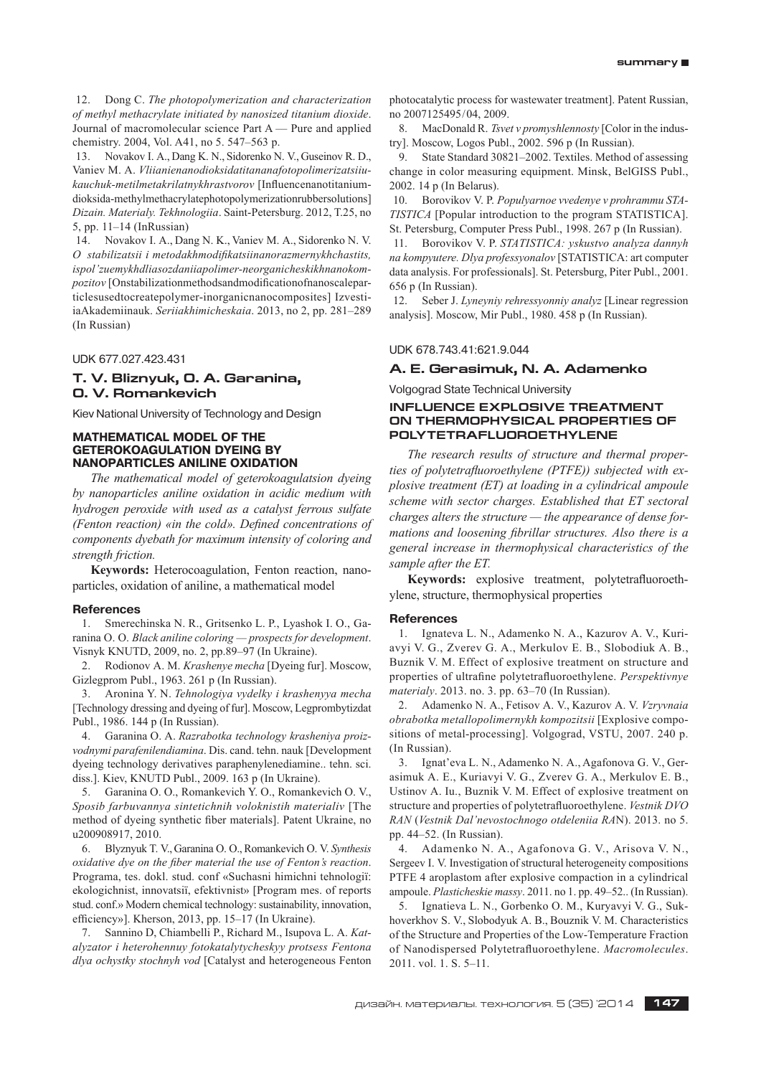12. Dong С. *The photopolymerization and characterization of methyl methacrylate initiated by nanosized titanium dioxide*. Journal of macromolecular science Part A — Pure and applied chemistry. 2004, Vol. A41, no 5. 547–563 p.

13. Novakov I. A., Dang K. N., Sidorenko N. V., Guseinov R. D., Vaniev M. A. *Vliianienanodioksidatitananafotopolimerizatsiiukauchuk-metilmetakrilatnykhrastvorov* [Influencenanotitaniumdioksida-methylmethacrylatephotopolymerizationrubbersolutions] *Dizain. Materialy. Tekhnologiia*. Saint-Petersburg. 2012, Т.25, no 5, pp. 11–14 (InRussian)

14. Novakov I. A., Dang N. K., Vaniev M. A., Sidorenko N. V. *O stabilizatsii i metodakhmodifikatsiinanorazmernykhchastits, ispol'zuemykhdliasozdaniiapolimer-neorganicheskikhnanokompozitov* [Onstabilizationmethodsandmodificationofnanoscaleparticlesusedtocreatepolymer-inorganicnanocomposites] IzvestiiaAkademiinauk. *Seriiakhimicheskaia*. 2013, no 2, pp. 281–289 (In Russian)

UDK 677.027.423.431

# **T. V. Bliznyuk, O. A. Garanina, O. V. Romankevich**

Kiev National University of Technology and Design

#### **MATHEMATICAL MODEL OF THE GETEROKOAGULATION DYEING BY NANOPARTICLES ANILINE OXIDATION**

*The mathematical model of geterokoagulatsion dyeing by nanoparticles aniline oxidation in acidic medium with hydrogen peroxide with used as a catalyst ferrous sulfate (Fenton reaction)* «in the cold». Defined concentrations of *components dyebath for maximum intensity of coloring and strength friction.*

**Keywords:** Heterocoagulation, Fenton reaction, nanoparticles, oxidation of aniline, a mathematical model

#### **References**

1. Smerechinska N. R., Gritsenko L. P., Lyashok I. O., Garanіna O. O. *Black aniline coloring — prospects for development*. Visnyk KNUTD, 2009, no. 2, pp.89–97 (In Ukraine).

2. Rodionov A. M. *Krashenye mecha* [Dyeing fur]. Moscow, Gizlegprom Publ., 1963. 261 p (In Russian).

3. Aronina Y. N. *Tehnologiya vydelky i krashenyya mecha*  [Technology dressing and dyeing of fur]. Moscow, Legprombytizdat Publ., 1986. 144 p (In Russian).

4. Garanina O. A. *Razrabotka technology krasheniya proizvodnymi parafenilendiamina*. Dis. cand. tehn. nauk [Development dyeing technology derivatives paraphenylenediamine.. tehn. sci. diss.]. Kiev, KNUTD Publ., 2009. 163 p (In Ukraine).

5. Garanіna O. O., Romankevich Y. O., Romankevich O. V., *Sposіb farbuvannya sintetichnih voloknistih materіalіv* [The method of dyeing synthetic fiber materials]. Patent Ukraine, no u200908917, 2010.

6. Blyznyuk T. V., Garanina O. O., Romankevich O. V. *Synthesis oxidative dye on the fiber material the use of Fenton's reaction*. Programa, tes. dokl. stud. conf «Suchasnі hіmіchnі tehnologії: ekologіchnіst, іnnovatsії, efektivnіst» [Program mes. of reports stud. conf.» Modern chemical technology: sustainability, innovation, efficiency»]. Kherson, 2013, pp. 15–17 (In Ukraine).

7. Sannino D, Chiambelli P., Richard M., Isupova L. A. *Katalyzator i heterohennuy fotokatalytycheskyy protsess Fentona dlya ochystky stochnyh vod* [Catalyst and heterogeneous Fenton photocatalytic process for wastewater treatment]. Patent Russian, no 2007125495/04, 2009.

8. MacDonald R. *Tsvet v promyshlennosty* [Color in the industry]. Moscow, Logos Publ., 2002. 596 p (In Russian).

State Standard 30821–2002. Textiles. Method of assessing change in color measuring equipment. Minsk, BelGISS Publ., 2002. 14 p (In Belarus).

10. Borovikov V. P. *Populyarnoe vvedenye v prohrammu STA-TISTICA* [Popular introduction to the program STATISTICA]. St. Petersburg, Computer Press Publ., 1998. 267 p (In Russian).

11. Borovikov V. P. *STATISTICA: yskustvo analyza dannyh na kompyutere. Dlya professyonalov* [STATISTICA: art computer data analysis. For professionals]. St. Petersburg, Piter Publ., 2001. 656 p (In Russian).

12. Seber J. *Lyneyniy rehressyonniy analyz* [Linear regression analysis]. Moscow, Mir Publ., 1980. 458 p (In Russian).

#### UDK 678.743.41:621.9.044

# **A. E. Gerasimuk, N. A. Adamenko**

Volgograd State Technical University

# **INFLUENCE EXPLOSIVE TREATMENT ON THERMOPHYSICAL PROPERTIES OF POLYTETRAFLUOROETHYLENE**

*The research results of structure and thermal proper*ties of polytetrafluoroethylene (PTFE)) subjected with ex*plosive treatment (ET) at loading in a cylindrical ampoule scheme with sector charges. Established that ET sectoral charges alters the structure — the appearance of dense formations and loosening fibrillar structures. Also there is a general increase in thermophysical characteristics of the sample after the EТ.*

Keywords: explosive treatment, polytetrafluoroethylene, structure, thermophysical properties

#### **References**

1. Ignateva L. N., Adamenko N. A., Kazurov A. V., Kuriavyi V. G., Zverev G. A., Merkulov E. B., Slobodiuk A. B., Buznik V. M. Effect of explosive treatment on structure and properties of ultrafine polytetrafluoroethylene. *Perspektivnye materialy*. 2013. no. 3. pp. 63–70 (In Russian).

2. Adamenko N. A., Fetisov A. V., Kazurov A. V. *Vzryvnaia obrabotka metallopolimernykh kompozitsii* [Explosive compositions of metal-processing]. Volgograd, VSTU, 2007. 240 p. (In Russian).

3. Ignat'eva L. N., Adamenko N. A., Agafonova G. V., Gerasimuk A. E., Kuriavyi V. G., Zverev G. A., Merkulov E. B., Ustinov A. Iu., Buznik V. M. Effect of explosive treatment on structure and properties of polytetrafluoroethylene. *Vestnik DVO RAN* (*Vestnik Dal'nevostochnogo otdeleniia RA*N). 2013. no 5. pp. 44–52. (In Russian).

4. Adamenko N. A., Agafonova G. V., Arisova V. N., Sergeev I. V. Investigation of structural heterogeneity compositions PTFE 4 aroplastom after explosive compaction in a cylindrical ampoule. *Plasticheskie massy*. 2011. no 1. pp. 49–52.. (In Russian).

5. Ignatieva L. N., Gorbenko O. M., Kuryavyi V. G., Sukhoverkhov S. V., Slobodyuk A. B., Bouznik V. M. Characteristics of the Structure and Properties of the Low-Temperature Fraction of Nanodispersed Polytetrafluoroethylene. *Macromolecules*. 2011. vol. 1. S. 5–11.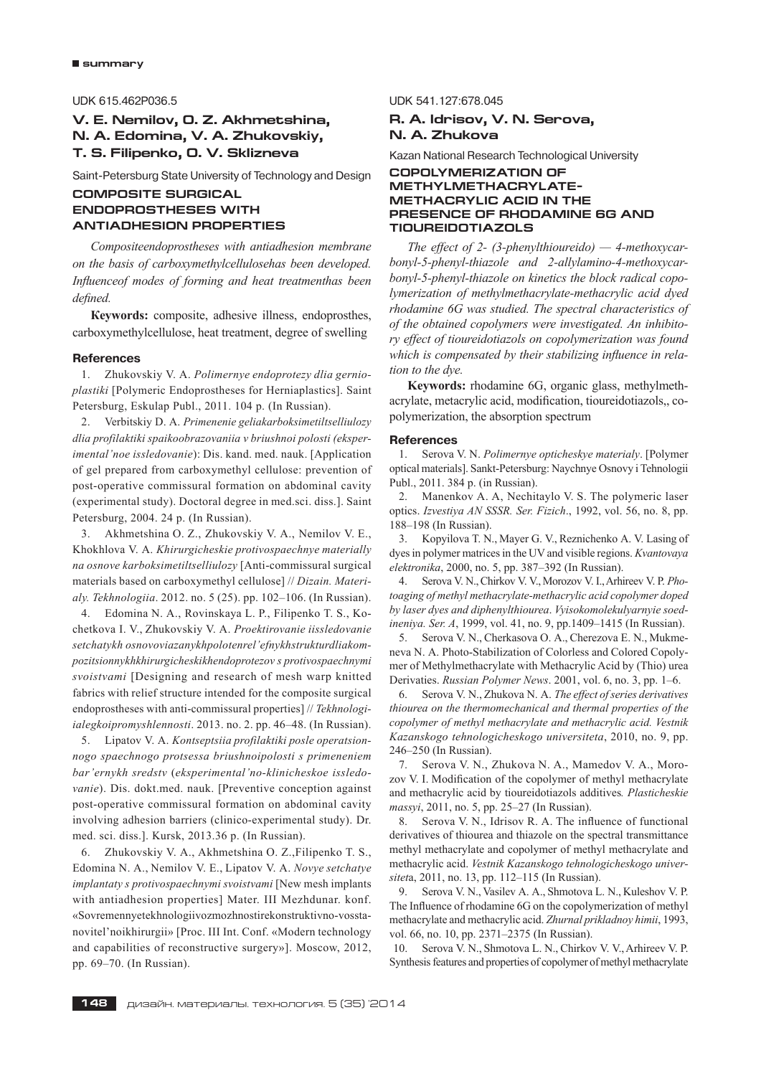# UDK 615.462P036.5

# **V. E. Nemilov, O. Z. Akhmetshina, N. A. Edomina, V. A. Zhukovskiy, T. S. Filipenko, O. V. Sklizneva**

Saint-Petersburg State University of Technology and Design

# **COMPOSITE SURGICAL ENDOPROSTHESES WITH ANTIADHESION PROPERTIES**

*Сompositeendoprostheses with antiadhesion membrane on the basis of carboxymethylcellulosehas been developed.*  Influenceof modes of forming and heat treatmenthas been *defi ned.*

**Кeywords:** composite, adhesive illness, endoprosthes, carboxymethylcellulose, heat treatment, degree of swelling

#### **References**

1. Zhukovskiy V. A. *Polimernye endoprotezy dlia gernioplastiki* [Polymeric Endoprostheses for Herniaplastics]. Saint Petersburg, Eskulap Publ., 2011. 104 p. (In Russian).

2. Verbitskiy D. A. *Primenenie geliakarboksimetiltselliulozy dlia profilaktiki spaikoobrazovaniia v briushnoi polosti (eksperimental'noe issledovanie*): Dis. kand. med. nauk. [Application of gel prepared from carboxymethyl cellulose: prevention of post-operative commissural formation on abdominal cavity (experimental study). Doctoral degree in med.sci. diss.]. Saint Petersburg, 2004. 24 p. (In Russian).

3. Akhmetshina O. Z., Zhukovskiy V. A., Nemilov V. E., Khokhlova V. A. *Khirurgicheskie protivospaechnye materially na osnove karboksimetiltselliulozy* [Anti-commissural surgical materials based on carboxymethyl cellulose] // *Dizain. Materialy. Tekhnologiia*. 2012. no. 5 (25). pp. 102–106. (In Russian).

4. Edomina N. A., Rovinskaya L. P., Filipenko T. S., Kochetkova I. V., Zhukovskiy V. A. *Proektirovanie iissledovanie setchatykh osnovoviazanykhpolotenrel'efnykhstrukturdliakompozitsionnykhkhirurgicheskikhendoprotezov s protivospaechnymi svoistvami* [Designing and research of mesh warp knitted fabrics with relief structure intended for the composite surgical endoprostheses with anti-commissural properties] // *Tekhnologiialegkoipromyshlennosti*. 2013. no. 2. pp. 46–48. (In Russian).

5. Lipatov V. A. *Kontseptsiia profilaktiki posle operatsionnogo spaechnogo protsessa briushnoipolosti s primeneniem bar'ernykh sredstv* (*eksperimental'no-klinicheskoe issledovanie*). Dis. dokt.med. nauk. [Preventive conception against post-operative commissural formation on abdominal cavity involving adhesion barriers (clinico-experimental study). Dr. med. sci. diss.]. Kursk, 2013.36 p. (In Russian).

6. Zhukovskiy V. A., Akhmetshina O. Z.,Filipenko T. S., Edomina N. A., Nemilov V. E., Lipatov V. A. *Novye setchatye implantaty s protivospaechnymi svoistvami* [New mesh implants with antiadhesion properties] Mater. III Mezhdunar. konf. «Sovremennyetekhnologiivozmozhnostirekonstruktivno-vosstanovitel'noikhirurgii» [Proc. III Int. Conf. «Modern technology and capabilities of reconstructive surgery»]. Moscow, 2012, pp. 69–70. (In Russian).

#### UDK 541.127:678.045

# **R. A. Idrisov, V. N. Serova, N. A. Zhukova**

Kazan National Research Technological University

## **COPOLYMERIZATION OF METHYLMETHACRYLATE-METHACRYLIC ACID IN THE PRESENCE OF RHODAMINE 6G AND TIOUREIDOTIAZOLS**

*The effect of 2- (3-phenylthioureido) — 4-methoxycarbonyl-5-phenyl-thiazole and 2-allylamino-4-methoxycarbonyl-5-phenyl-thiazole on kinetics the block radical copolymerization of methylmethacrylate-methacrylic acid dyed rhodamine 6G was studied. The spectral characteristics of of the obtained copolymers were investigated. An inhibitory effect of tioureidotiazols on copolymerization was found*  which is compensated by their stabilizing influence in rela*tion to the dye.*

**Keywords:** rhodamine 6G, organic glass, methylmethacrylate, metacrylic acid, modification, tioureidotiazols,, copolymerization, the absorption spectrum

#### **References**

1. Serova V. N. *Polimernye opticheskye materialy*. [Polymer optical materials]. Sankt-Petersburg: Naychnye Osnovy i Tehnologii Publ., 2011. 384 p. (in Russian).

2. Manenkov A. A, Nechitaylo V. S. The polymeric laser optics. *Izvestiya AN SSSR. Ser. Fizich*., 1992, vol. 56, no. 8, pp. 188–198 (In Russian).

3. Kopyilova T. N., Mayer G. V., Reznichenko A. V. Lasing of dyes in polymer matrices in the UV and visible regions. *Kvantovaya elektronika*, 2000, no. 5, pp. 387–392 (In Russian).

4. Serova V. N., Chirkov V. V., Morozov V. I., Arhireev V. P. *Photoaging of methyl methacrylate-methacrylic acid copolymer doped by laser dyes and diphenylthiourea*. *Vyisokomolekulyarnyie soedineniya. Ser. A*, 1999, vol. 41, no. 9, pp.1409–1415 (In Russian).

5. Serova V. N., Cherkasova O. A., Cherezova E. N., Mukmeneva N. A. Photo-Stabilization of Colorless and Colored Copolymer of Methylmethacrylate with Methacrylic Acid by (Thio) urea Derivaties. *Russian Polymer News*. 2001, vol. 6, no. 3, pp. 1–6.

6. Serova V. N., Zhukova N. A. *The effect of series derivatives thiourea on the thermomechanical and thermal properties of the copolymer of methyl methacrylate and methacrylic acid. Vestnik Kazanskogo tehnologicheskogo universiteta*, 2010, no. 9, pp. 246–250 (In Russian).

7. Serova V. N., Zhukova N. A., Mamedov V. A., Morozov V. I. Modification of the copolymer of methyl methacrylate and methacrylic acid by tioureidotiazols additives*. Plasticheskie massyi*, 2011, no. 5, pp. 25–27 (In Russian).

8. Serova V. N., Idrisov R. A. The influence of functional derivatives of thiourea and thiazole on the spectral transmittance methyl methacrylate and copolymer of methyl methacrylate and methacrylic acid. *Vestnik Kazanskogo tehnologicheskogo universitet*a, 2011, no. 13, pp. 112–115 (In Russian).

9. Serova V. N., Vasilev A. A., Shmotova L. N., Kuleshov V. P. The Influence of rhodamine 6G on the copolymerization of methyl methacrylate and methacrylic acid. *Zhurnal prikladnoy himii*, 1993, vol. 66, no. 10, pp. 2371–2375 (In Russian).

10. Serova V. N., Shmotova L. N., Chirkov V. V., Arhireev V. P. Synthesis features and properties of copolymer of methyl methacrylate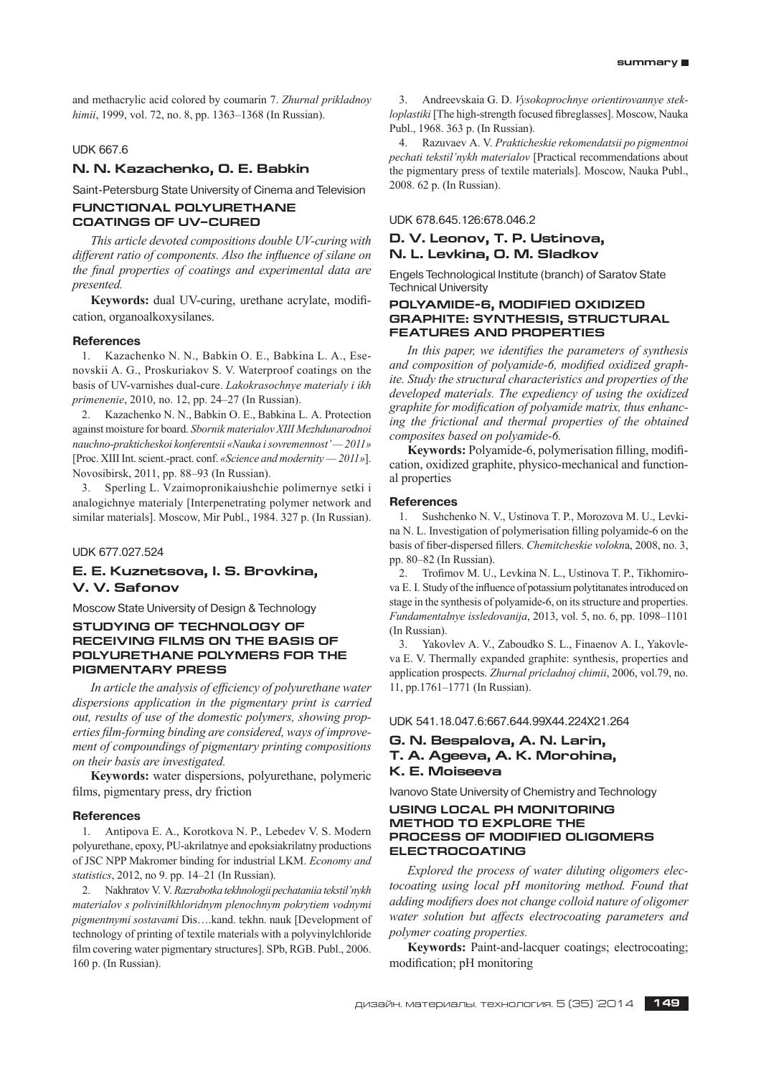and methacrylic acid colored by coumarin 7. *Zhurnal prikladnoy himii*, 1999, vol. 72, no. 8, pp. 1363–1368 (In Russian).

# UDK 667.6

## **N. N. Kazachenko, O. E. Babkin**

Saint-Petersburg State University of Cinema and Television **FUNCTIONAL POLYURETHANE COATINGS OF UV–CURED**

*This article devoted compositions double UV-curing with different ratio of components. Also the influence of silane on* the final properties of coatings and experimental data are *presented.*

Keywords: dual UV-curing, urethane acrylate, modification, organoalkoxysilanes.

#### **References**

1. Kazachenko N. N., Babkin O. E., Babkina L. A., Esenovskii A. G., Proskuriakov S. V. Waterproof coatings on the basis of UV-varnishes dual-cure. *Lakokrasochnye materialy i ikh primenenie*, 2010, no. 12, pp. 24–27 (In Russian).

2. Kazachenko N. N., Babkin O. E., Babkina L. A. Protection against moisture for board. *Sbornik materialov XIII Mezhdunarodnoi nauchno-prakticheskoi konferentsii «Nauka i sovremennost' — 2011»* [Proc. XIII Int. scient.-pract. conf. *«Science and modernity — 2011»*]. Novosibirsk, 2011, pp. 88–93 (In Russian).

3. Sperling L. Vzaimopronikaiushchie polimernye setki i analogichnye materialy [Interpenetrating polymer network and similar materials]. Moscow, Mir Publ., 1984. 327 p. (In Russian).

UDK 677.027.524

# **E. E. Kuznetsova, I. S. Brovkina, V. V. Safonov**

Moscow State University of Design & Technology

# **STUDYING OF TECHNOLOGY OF RECEIVING FILMS ON THE BASIS OF POLYURETHANE POLYMERS FOR THE PIGMENTARY PRESS**

In article the analysis of efficiency of polyurethane water *dispersions application in the pigmentary print is carried out, results of use of the domestic polymers, showing prop*erties film-forming binding are considered, ways of improve*ment of compoundings of pigmentary printing compositions on their basis are investigated.*

**Keywords:** water dispersions, polyurethane, polymeric films, pigmentary press, dry friction

#### **References**

1. Antipova E. A., Korotkova N. P., Lebedev V. S. Modern polyurethane, epoxy, PU-akrilatnye and epoksiakrilatny productions of JSC NPP Makromer binding for industrial LKM. *Economy and statistics*, 2012, no 9. pp. 14–21 (In Russian).

2. Nakhratov V. V. *Razrabotka tekhnologii pechataniia tekstil'nykh materialov s polivinilkhloridnym plenochnym pokrytiem vodnymi pigmentnymi sostavami* Dis….kand. tekhn. nauk [Development of technology of printing of textile materials with a polyvinylchloride film covering water pigmentary structures]. SPb, RGB. Publ., 2006. 160 p. (In Russian).

3. Andreevskaia G. D. *Vysokoprochnye orientirovannye stekloplastiki* [The high-strength focused fibreglasses]. Moscow, Nauka Publ., 1968. 363 p. (In Russian).

4. Razuvaev A. V. *Prakticheskie rekomendatsii po pigmentnoi pechati tekstil'nykh materialov* [Practical recommendations about the pigmentary press of textile materials]. Moscow, Nauka Publ., 2008. 62 p. (In Russian).

UDK 678.645.126:678.046.2

# **D. V. Leonov, T. P. Ustinova, N. L. Levkina, O. M. Sladkov**

Engels Technological Institute (branch) of Saratov State Technical University

# **POLYAMIDE-6, MODIFIED OXIDIZED GRAPHITE: SYNTHESIS, STRUCTURAL FEATURES AND PROPERTIES**

*In this paper, we identifies the parameters of synthesis* and composition of polyamide-6, modified oxidized graph*ite. Study the structural characteristics and properties of the developed materials. The expediency of using the oxidized*  graphite for modification of polyamide matrix, thus enhanc*ing the frictional and thermal properties of the obtained composites based on polyamide-6.*

**Keywords:** Polyamide-6, polymerisation filling, modification, oxidized graphite, physico-mechanical and functional properties

#### **References**

1. Sushchenko N. V., Ustinova T. P., Morozova M. U., Levkina N. L. Investigation of polymerisation filling polyamide-6 on the basis of fiber-dispersed fillers. *Chemitcheskie volokn*a, 2008, no. 3, pp. 80–82 (In Russian).

2. Trofimov M. U., Levkina N. L., Ustinova T. P., Tikhomirova E. I. Study of the influence of potassium polytitanates introduced on stage in the synthesis of polyamide-6, on its structure and properties. *Fundamentalnye issledovanija*, 2013, vol. 5, no. 6, pp. 1098–1101 (In Russian).

3. Yakovlev A. V., Zaboudko S. L., Finaenov A. I., Yakovleva E. V. Thermally expanded graphite: synthesis, properties and application prospects. *Zhurnal pricladnoj chimii*, 2006, vol.79, no. 11, pp.1761–1771 (In Russian).

UDK 541.18.047.6:667.644.99X44.224X21.264

# **G. N. Bespalova, A. N. Larin, T. A. Ageeva, A. K. Morohina,**

# **K. E. Moiseeva**

Ivanovo State University of Chemistry and Technology

# **USING LOCAL PH MONITORING METHOD TO EXPLORE THE PROCESS OF MODIFIED OLIGOMERS ELECTROCOATING**

*Explored the process of water diluting oligomers electocoating using local pH monitoring method. Found that adding modifiers does not change colloid nature of oligomer water solution but affects electrocoating parameters and polymer coating properties.*

**Keywords:** Paint-and-lacquer coatings; electrocoating; modification; pH monitoring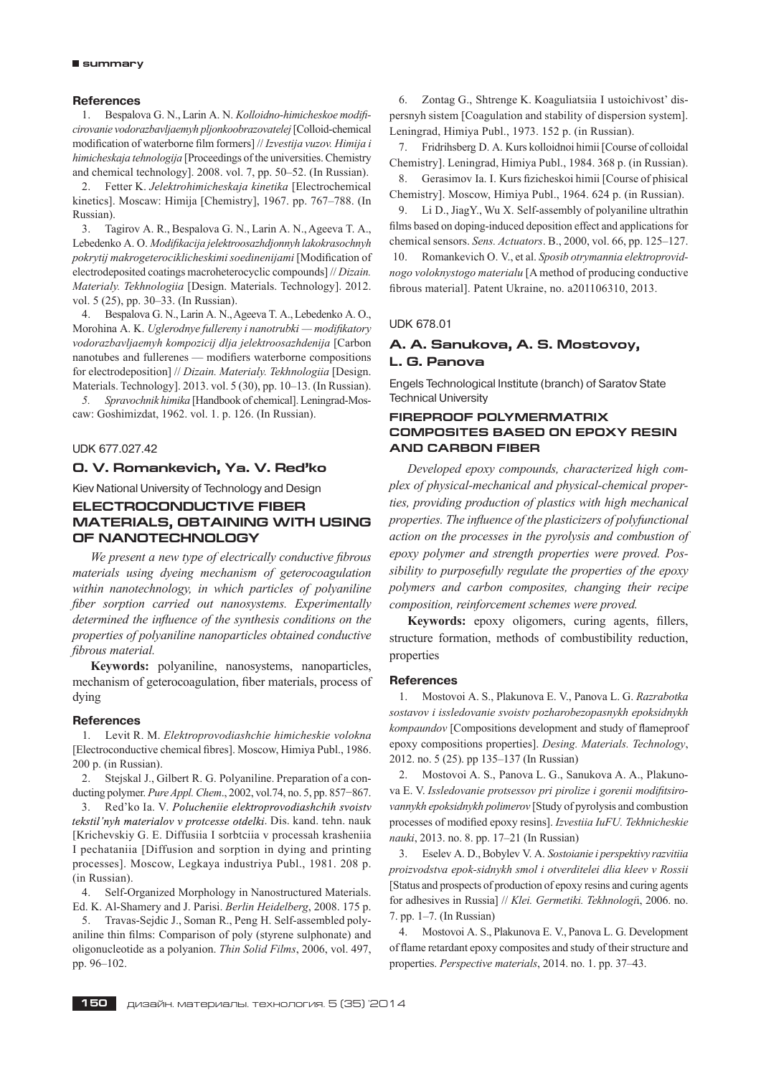#### **References**

1. Bespalova G. N., Larin A. N. *Kolloidno-himicheskoe modificirovanie vodorazbavljaemyh pljonkoobrazovatelej* [Colloid-chemical modification of waterborne film formers] // *Izvestija vuzov. Himija i himicheskaja tehnologija* [Proceedings of the universities. Chemistry and chemical technology]. 2008. vol. 7, pp. 50–52. (In Russian).

2. Fetter K. *Jelektrohimicheskaja kinetika* [Electrochemical kinetics]. Moscaw: Himija [Chemistry], 1967. pp. 767–788. (In Russian).

3. Tagirov A. R., Bespalova G. N., Larin A. N., Ageeva T. A., Lebedenko A. O. *Modifikacija jelektroosazhdjonnyh lakokrasochnyh pokrytij makrogeterociklicheskimi soedinenijami* [Modification of electrodeposited coatings macroheterocyclic compounds] // *Dizain. Materialy. Tekhnologiia* [Design. Materials. Technology]. 2012. vol. 5 (25), pp. 30–33. (In Russian).

4. Bespalova G. N., Larin A. N., Ageeva T. A., Lebedenko A. O., Morohina A. K. *Uglerodnye fullereny i nanotrubki — modifikatory vodorazbavljaemyh kompozicij dlja jelektroosazhdenija* [Carbon nanotubes and fullerenes — modifiers waterborne compositions for electrodeposition] // *Dizain. Materialy. Tekhnologiia* [Design. Materials. Technology]. 2013. vol. 5 (30), pp. 10–13. (In Russian).

*5. Spravochnik himika* [Handbook of chemical]. Leningrad-Moscaw: Goshimizdat, 1962. vol. 1. p. 126. (In Russian).

### UDK 677.027.42

# **O. V. Romankevich, Ya. V. Red'ko**

Kiev National University of Technology and Design

# **ELECTROCONDUCTIVE FIBER MATERIALS, OBTAINING WITH USING OF NANOTECHNOLOGY**

We present a new type of electrically conductive fibrous *materials using dyeing mechanism of geterocoagulation within nanotechnology, in which particles of polyaniline fiber sorption carried out nanosystems. Experimentally determined the influence of the synthesis conditions on the properties of polyaniline nanoparticles obtained conductive fi brous material.*

**Keywords:** polyaniline, nanosystems, nanoparticles, mechanism of geterocoagulation, fiber materials, process of dying

#### **References**

1. Levit R. М. *Elektroprovodiashchie himicheskie volokna*  [Electroconductive chemical fibres]. Мoscow, Himiya Publ., 1986. 200 p. (in Russian).

2. Stejskal J., Gilbert R. G. Polyaniline. Preparation of a conducting polymer. *Pure Appl. Chem*., 2002, vol.74, no. 5, pp. 857−867.

3. Red'ko Ia. V. Polucheniie elektroprovodiashchih svoistv tekstil'nyh materialov v protcesse otdelki. Dis. kand. tehn. nauk [Krichevskiy G. E. Diffusiia I sorbtciia v processah krasheniia I pechataniia [Diffusion and sorption in dying and printing processes]. Мoscow, Legkaya industriya Publ., 1981. 208 p. (in Russian).

4. Self-Organized Morphology in Nanostructured Materials. Ed. K. Al-Shamery and J. Parisi. *Berlin Heidelberg*, 2008. 175 p.

5. Travas-Sejdic J., Soman R., Peng H. Self-assembled polyaniline thin films: Comparison of poly (styrene sulphonate) and oligonucleotide as a polyanion. *Thin Solid Films*, 2006, vol. 497, pp. 96–102.

6. Zontag G., Shtrenge K. Koaguliatsiia I ustoichivost' dispersnyh sistem [Coagulation and stability of dispersion system]. Leningrad, Himiya Publ., 1973. 152 p. (in Russian).

7. Fridrihsberg D. A. Kurs kolloidnoi himii [Course of colloidal Chemistry]. Leningrad, Himiya Publ., 1984. 368 p. (in Russian).

8. Gerasimov Ia. I. Kurs fizicheskoi himii [Course of phisical Chemistry]. Мoscow, Himiya Publ., 1964. 624 p. (in Russian).

9. Li D., JiagY., Wu X. Self-assembly of polyaniline ultrathin films based on doping-induced deposition effect and applications for chemical sensors. *Sens. Actuators*. B., 2000, vol. 66, pp. 125–127. 10. Romankevich O. V., et al. *Sposib otrymannia elektroprovidnogo voloknystogo materialu* [A method of producing conductive fibrous material]. Patent Ukraine, no. a201106310, 2013.

#### UDK 678.01

# **A. A. Sanukova, A. S. Mostovoy, L. G. Panova**

Engels Technological Institute (branch) of Saratov State Technical University

# **FIREPROOF POLYMERMATRIX COMPOSITES BASED ON EPOXY RESIN AND CARBON FIBER**

*Developed epoxy compounds, characterized high complex of physical-mechanical and physical-chemical properties, providing production of plastics with high mechanical properties. The influence of the plasticizers of polyfunctional action on the processes in the pyrolysis and combustion of epoxy polymer and strength properties were proved. Possibility to purposefully regulate the properties of the epoxy polymers and carbon composites, changing their recipe composition, reinforcement schemes were proved.*

Keywords: epoxy oligomers, curing agents, fillers, structure formation, methods of combustibility reduction, properties

#### **References**

1. Mostovoi A. S., Plakunova E. V., Panova L. G. *Razrabotka sostavov i issledovanie svoistv pozharobezopasnykh epoksidnykh kompaundov* [Compositions development and study of flameproof epoxy compositions properties]. *Desing. Materials. Technology*, 2012. no. 5 (25). pp 135–137 (In Russian)

2. Mostovoi A. S., Panova L. G., Sanukova A. A., Plakunova E. V. *Issledovanie protsessov pri pirolize i gorenii modifitsirovannykh epoksidnykh polimerov* [Study of pyrolysis and combustion processes of modified epoxy resins]. *Izvestiia IuFU. Tekhnicheskie nauki*, 2013. no. 8. pp. 17–21 (In Russian)

3. Eselev A. D., Bobylev V. A. *Sostoianie i perspektivy razvitiia proizvodstva epok-sidnykh smol i otverditelei dlia kleev v Rossii*  [Status and prospects of production of epoxy resins and curing agents for adhesives in Russia] // *Klei. Germetiki. Tekhnologi*i, 2006. no. 7. pp. 1–7. (In Russian)

4. Mostovoi A. S., Plakunova E. V., Panova L. G. Development of flame retardant epoxy composites and study of their structure and properties. *Perspective materials*, 2014. no. 1. pp. 37–43.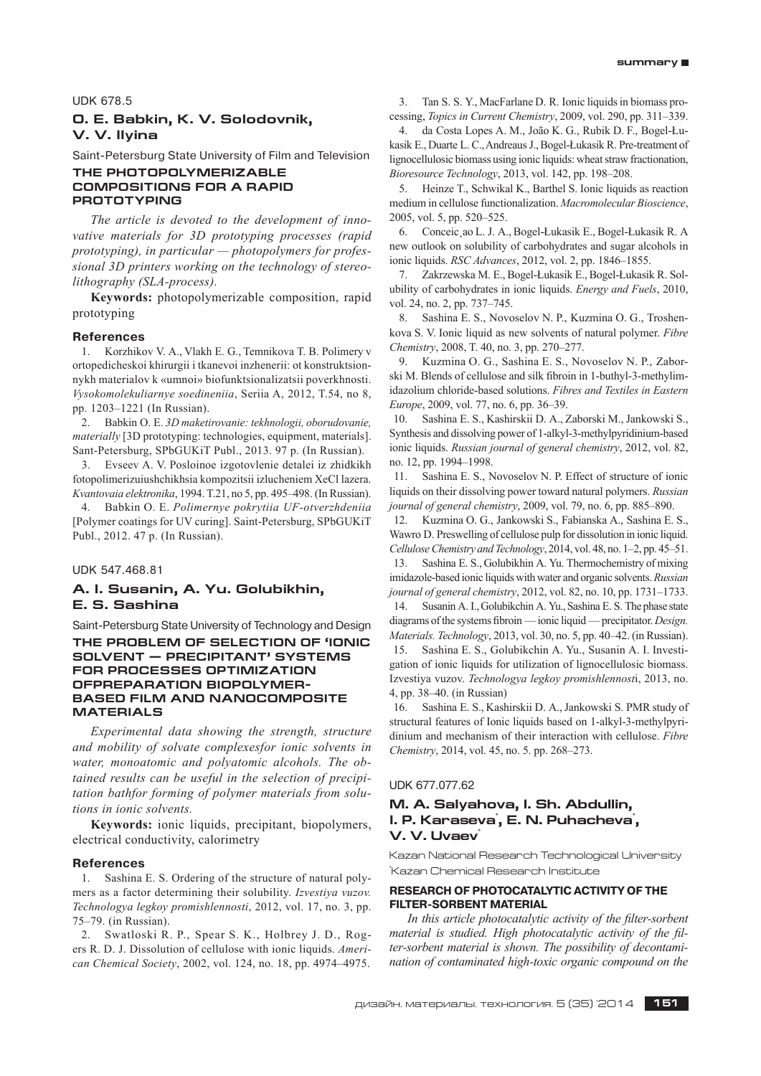UDK 678.5

# **O. E. Babkin, K. V. Solodovnik, V. V. Ilyina**

Saint-Petersburg State University of Film and Television

# **THE PHOTOPOLYMERIZABLE COMPOSITIONS FOR A RAPID PROTOTYPING**

*The article is devoted to the development of innovative materials for 3D prototyping processes (rapid prototyping), in particular — photopolymers for professional 3D printers working on the technology of stereolithography (SLA-process).*

**Keywords:** photopolymerizable composition, rapid prototyping

#### **References**

1. Korzhikov V. A., Vlakh E. G., Temnikova T. B. Polimery v ortopedicheskoi khirurgii i tkanevoi inzhenerii: ot konstruktsionnykh materialov k «umnoi» biofunktsionalizatsii poverkhnosti. *Vysokomolekuliarnye soedineniia*, Seriia A, 2012, T.54, no 8, pp. 1203–1221 (In Russian).

2. Babkin O. E. *3D maketirovanie: tekhnologii, oborudovanie, materially* [3D prototyping: technologies, equipment, materials]. Sant-Petersburg, SPbGUKiT Publ., 2013. 97 p. (In Russian).

3. Evseev A. V. Posloinoe izgotovlenie detalei iz zhidkikh fotopolimerizuiushchikhsia kompozitsii izlucheniem XeCl lazera. *Kvantovaia elektronika*, 1994. T.21, no 5, pp. 495–498. (In Russian).

4. Babkin O. E. *Polimernye pokrytiia UF-otverzhdeniia*  [Polymer coatings for UV curing]. Saint-Petersburg, SPbGUKiT Publ., 2012. 47 p. (In Russian).

UDK 547.468.81

# **A. I. Susanin, A. Yu. Golubikhin, E. S. Sashina**

Saint-Petersburg State University of Technology and Design **THE PROBLEM OF SELECTION OF 'IONIC SOLVENT — PRECIPITANT' SYSTEMS FOR PROCESSES OPTIMIZATION OFPREPARATION BIOPOLYMER-BASED FILM AND NANOCOMPOSITE MATERIALS**

*Ex perimental data showing the strength, structure and mob ility of solvate complexesfor ionic solvents in*  water, monoatomic and polyatomic alcohols. The ob*tained results can be useful in the selection of precipitation bathfor forming of polymer materials from solutions in ionic solvents.*

**Keywords:** ionic liquids, precipitant, biopolymers, electrical conductivity, calorimetry

#### **References**

1. Sashina E. S. Оrdering of the structure of natural polymers as a factor determining their solubility. *Izvestiya vuzov. Technologya legkoy promishlennosti*, 2012, vol. 17, no. 3, pp. 75–79. (in Russian).

2. Swatloski R. P., Spear S. K., Holbrey J. D., Rogers R. D. J. Dissolution of cellulose with ionic liquids. *American Chemical Society*, 2002, vol. 124, no. 18, pp. 4974–4975.

3. Tan S. S. Y., MacFarlane D. R. Ionic liquids in biomass processing, *Topics in Current Chemistry*, 2009, vol. 290, pp. 311–339.

4. da Costa Lopes A. M., João K. G., Rubik D. F., Bogel-Łukasik E., Duarte L. C., Andreaus J., Bogel-Łukasik R. Pre-treatment of lignocellulosic biomass using ionic liquids: wheat straw fractionation, *Bioresource Technology*, 2013, vol. 142, pp. 198–208.

5. Heinze T., Schwikal K., Barthel S. Ionic liquids as reaction medium in cellulose functionalization. *Macromolecular Bioscience*, 2005, vol. 5, pp. 520–525.

6. Conceic¸ao L. J. A., Bogel-Łukasik E., Bogel-Łukasik R. A new outlook on solubility of carbohydrates and sugar alcohols in ionic liquids. *RSC Advances*, 2012, vol. 2, pp. 1846–1855.

7. Zakrzewska M. E., Bogel-Łukasik E., Bogel-Łukasik R. Solubility of carbohydrates in ionic liquids. *Energy and Fuels*, 2010, vol. 24, no. 2, pp. 737–745.

8. Sashina E. S., Novoselov N. P., Kuzmina O. G., Troshenkova S. V. Ionic liquid as new solvents of natural polymer. *Fibre Chemistry*, 2008, T. 40, no. 3, pp. 270–277.

9. Kuzmina O. G., Sashina E. S., Novoselov N. P., Zaborski M. Blends of cellulose and silk fibroin in 1-buthyl-3-methylimidazolium chloride-based solutions. *Fibres and Textiles in Eastern Europe*, 2009, vol. 77, no. 6, pp. 36–39.

10. Sashina E. S., Kashirskii D. A., Zaborski M., Jankowski S., Synthesis and dissolving power of 1-alkyl-3-methylpyridinium-based ionic liquids. *Russian journal of general chemistry*, 2012, vol. 82, no. 12, pp. 1994–1998.

11. Sashina E. S., Novoselov N. P. Effect of structure of ionic liquids on their dissolving power toward natural polymers. *Russian journal of general chemistry*, 2009, vol. 79, no. 6, pp. 885–890.

12. Kuzmina O. G., Jankowski S., Fabianska A., Sashina E. S., Wawro D. Preswelling of cellulose pulp for dissolution in ionic liquid. *Cellulose Chemistry and Technology*, 2014, vol. 48, no. 1–2, pp. 45–51.

13. Sashina E. S., Golubikhin A. Yu. Thermochemistry of mixing imidazole-based ionic liquids with water and organic solvents. *Russian journal of general chemistry*, 2012, vol. 82, no. 10, pp. 1731–1733. 14. Susanin A. I., Golubikchin A. Yu., Sashina E. S. The phase state diagrams of the systems fibroin — ionic liquid — precipitator. *Design. Materials. Technology*, 2013, vol. 30, no. 5, pp. 40–42. (in Russian). 15. Sashina E. S., Golubikchin A. Yu., Susanin A. I. Investigation of ionic liquids for utilization of lignocellulosic biomass.

Izvestiya vuzov. *Technologya legkoy promishlennost*i, 2013, no. 4, pp. 38–40. (in Russian)

16. Sashina E. S., Kashirskii D. A., Jankowski S. PMR study of structural features of Ionic liquids based on 1-alkyl-3-methylpyridinium and mechanism of their interaction with cellulose. *Fibre Chemistry*, 2014, vol. 45, no. 5. pp. 268–273.

UDK 677.077.62

# **M. A. Salyahova, I. Sh. Abdullin, I. P. Karaseva<sup>\*</sup>, E. N. Puhacheva<sup>\*</sup>, V. V. Uvaev**

Kazan National Research Technological University \* Kazan Chemical Research Institute

# **RESEARCH OF PHOTOCATALYTIC ACTIVITY OF THE FILTER-SORBENT MATERIAL**

In this article photocatalytic activity of the filter-sorbent *material is studied. High photocatalytic activity of the filter-sorbent material is shown. The possibility of decontamination of contaminated high-toxic organic compound on the*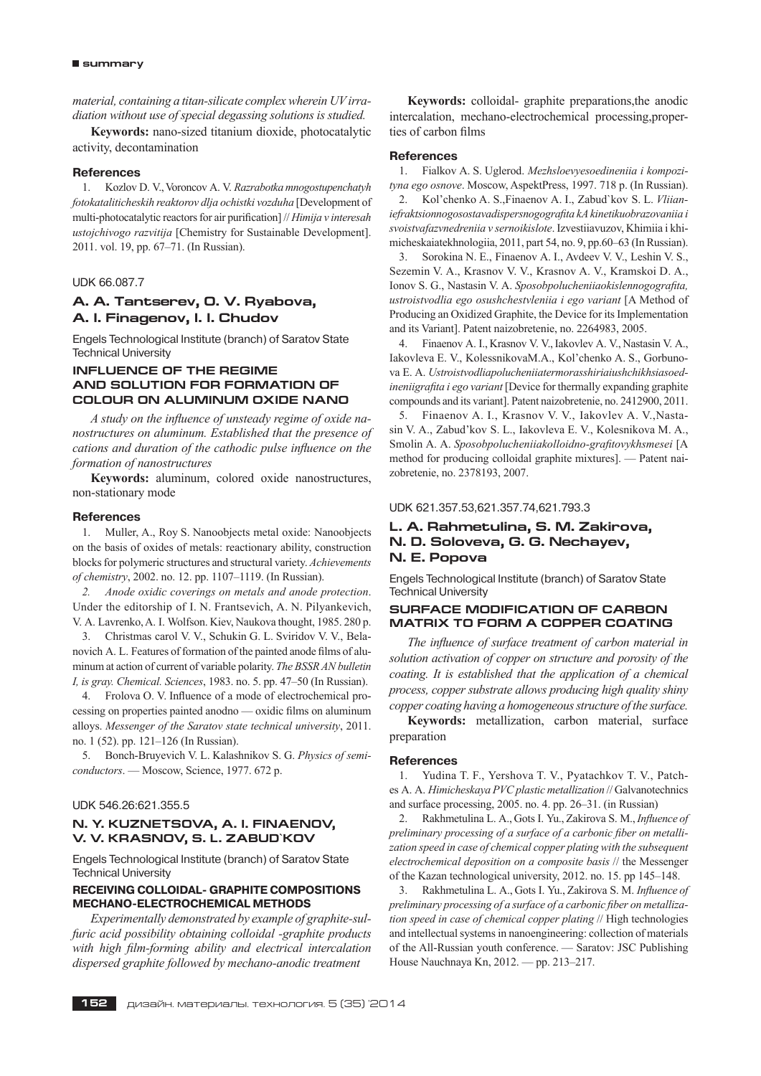#### **summary**

*material, containing a titan-silicate complex wherein UV irradiation without use of special degassing solutions is studied.*

**Keywords:** nano-sized titanium dioxide, photocatalytic activity, decontamination

#### **References**

1. Kozlov D. V., Voroncov A. V. *Razrabotka mnogostupenchatyh fotokataliticheskih reaktorov dlja ochistki vozduha* [Development of multi-photocatalytic reactors for air purification] // *Himija v interesah ustojchivogo razvitija* [Chemistry for Sustainable Development]. 2011. vol. 19, pp. 67–71. (In Russian).

#### UDK 66.087.7

# **À. A. Tantserev, O. V. Ryabova, A. I. Finagenov, I. I. Chudov**

Engels Technological Institute (branch) of Saratov State Technical University

# **INFLUENCE OF THE REGIME AND SOLUTION FOR FORMATION OF COLOUR ON ALUMINUM OXIDE NANO**

A study on the influence of unsteady regime of oxide na*nostructures on aluminum. Established that the presence of cations and duration of the cathodic pulse influence on the formation of nanostructures*

**Keywords:** aluminum, colored oxide nanostructures, non-stationary mode

#### **References**

1. Muller, A., Roy S. Nanoobjects metal oxide: Nanoobjects on the basis of oxides of metals: reactionary ability, construction blocks for polymeric structures and structural variety. *Achievements of chemistry*, 2002. no. 12. pp. 1107–1119. (In Russian).

*2. Anode oxidic coverings on metals and anode protection*. Under the editorship of I. N. Frantsevich, A. N. Pilyankevich, V. A. Lavrenko, A. I. Wolfson. Kiev, Naukova thought, 1985. 280 p.

3. Christmas carol V. V., Schukin G. L. Sviridov V. V., Belanovich A. L. Features of formation of the painted anode films of aluminum at action of current of variable polarity. *The BSSR AN bulletin I, is gray. Chemical. Sciences*, 1983. no. 5. pp. 47–50 (In Russian).

4. Frolova O. V. Influence of a mode of electrochemical processing on properties painted anodno — oxidic films on aluminum alloys. *Messenger of the Saratov state technical university*, 2011. no. 1 (52). pp. 121–126 (In Russian).

5. Bonch-Bruyevich V. L. Kalashnikov S. G. *Physics of semiconductors*. — Moscow, Science, 1977. 672 p.

#### UDK 546.26:621.355.5

#### **N. Y. KUZNETSOVA, A. I. FINAENOV, V. V. KRASNOV, S. L. ZABUD`KOV**

Engels Technological Institute (branch) of Saratov State Technical University

# **RECEIVING COLLOIDAL- GRAPHITE COMPOSITIONS MECHANO-ELECTROCHEMICAL METHODS**

*Experimentally demonstrated by example of graphite-sulfuric acid possibility obtaining colloidal -graphite products*  with high film-forming ability and electrical intercalation *dispersed graphite followed by mechano-anodic treatment*

**Keywords:** colloidal- graphite preparations,the anodic intercalation, mechano-electrochemical processing,properties of carbon films

#### **References**

1. Fialkov A. S. Uglerod. *Mezhsloevyesoedineniia i kompozityna ego osnove*. Moscow, AspektPress, 1997. 718 p. (In Russian).

2. Kol'chenko A. S.,Finaenov A. I., Zabud`kov S. L. *Vliianiefraktsionnogosostavadispersnogografita kA kinetikuobrazovaniia i svoistvafazvnedreniia v sernoikislote*. Izvestiiavuzov, Khimiia i khimicheskaiatekhnologiia, 2011, part 54, no. 9, pp.60–63 (In Russian).

3. Sorokina N. E., Finaenov A. I., Avdeev V. V., Leshin V. S., Sezemin V. A., Krasnov V. V., Krasnov A. V., Kramskoi D. A., Ionov S. G., Nastasin V. A. *Sposobpolucheniiaokislennogografita, ustroistvodlia ego osushchestvleniia i ego variant* [A Method of Producing an Oxidized Graphite, the Device for its Implementation and its Variant]. Patent naizobretenie, no. 2264983, 2005.

4. Finaenov A. I., Krasnov V. V., Iakovlev A. V., Nastasin V. A., Iakovleva E. V., KolessnikovaM.A., Kol'chenko A. S., Gorbunova E. A. *Ustroistvodliapolucheniiatermorasshiriaiushchikhsiasoedineniigrafita i ego variant* [Device for thermally expanding graphite compounds and its variant]. Patent naizobretenie, no. 2412900, 2011.

5. Finaenov A. I., Krasnov V. V., Iakovlev A. V.,Nastasin V. A., Zabud'kov S. L., Iakovleva E. V., Kolesnikova M. A., Smolin A. A. *Sposobpolucheniiakolloidno-grafitovykhsmesei* [A method for producing colloidal graphite mixtures]. — Patent naizobretenie, no. 2378193, 2007.

#### UDK 621.357.53,621.357.74,621.793.3

# **L. A. Rahmetulina, S. M. Zakirova, N. D. Soloveva, G. G. Nechayev, N. E. Popova**

Engels Technological Institute (branch) of Saratov State Technical University

# **SURFACE MODIFICATION OF CARBON MATRIX TO FORM A COPPER COATING**

The influence of surface treatment of carbon material in *solution activation of copper on structure and porosity of the coating. It is established that the application of a chemical process, copper substrate allows producing high quality shiny copper coating having a homogeneous structure of the surface.*

**Keywords:** metallization, carbon material, surface preparation

## **References**

1. Yudina T. F., Yershova T. V., Pyatachkov T. V., Patches A. A. *Himicheskaya PVC plastic metallization* // Galvanotechnics and surface processing, 2005. no. 4. pp. 26–31. (in Russian)

2. Rakhmetulina L. A., Gots I. Yu., Zakirova S. M., *Influence of preliminary processing of a surface of a carbonic fiber on metallization speed in case of chemical copper plating with the subsequent electrochemical deposition on a composite basis* // the Messenger of the Kazan technological university, 2012. no. 15. pp 145–148.

3. Rakhmetulina L. A., Gots I. Yu., Zakirova S. M. *Influence of preliminary processing of a surface of a carbonic fiber on metallization speed in case of chemical copper plating* // High technologies and intellectual systems in nanoengineering: collection of materials of the All-Russian youth conference. — Saratov: JSC Publishing House Nauchnaya Kn, 2012. — pp. 213–217.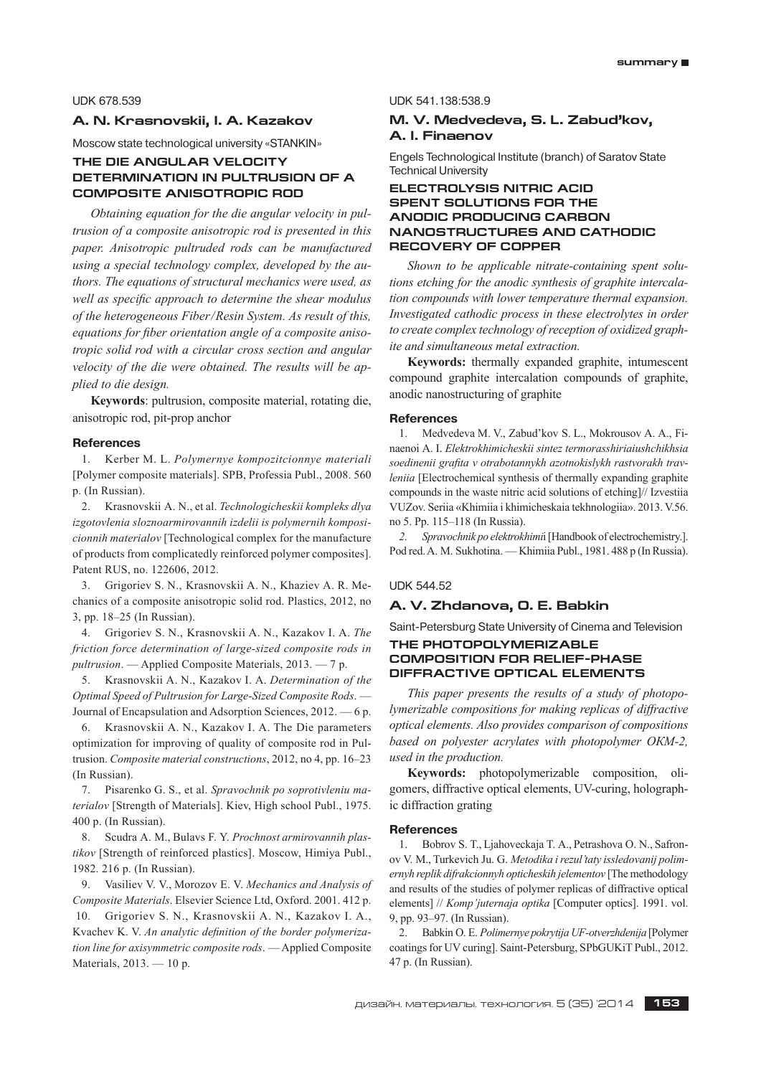# UDK 678.539

# **A. N. Krasnovskii, I. A. Kazakov**

Moscow state technological university «STANKIN»

# **THE DIE ANGULAR VELOCITY DETERMINATION IN PULTRUSION OF A COMPOSITE ANISOTROPIC ROD**

*Obtaining equation for the die angular velocity in pultrusion of a composite anisotropic rod is presented in this paper. Anisotropic pultruded rods can be manufactured using a special technology complex, developed by the authors. The equations of structural mechanics were used, as*  well as specific approach to determine the shear modulus *of the heterogeneous Fiber/Resin System. As result of this,*  equations for fiber orientation angle of a composite aniso*tropic solid rod with a circular cross section and angular velocity of the die were obtained. The results will be applied to die design.*

**Keywords**: pultrusion, composite material, rotating die, anisotropic rod, pit-prop anchor

#### **References**

1. Kerber M. L. *Polymernye kompozitcionnye materiali*  [Polymer composite materials]. SPB, Professia Publ., 2008. 560 p. (In Russian).

2. Krasnovskii A. N., et al. *Technologicheskii kompleks dlya izgotovlenia sloznoarmirovannih izdelii is polymernih komposicionnih materialov* [Technological complex for the manufacture of products from complicatedly reinforced polymer composites]. Patent RUS, no. 122606, 2012.

3. Grigoriev S. N., Krasnovskii A. N., Khaziev A. R. Mechanics of a composite anisotropic solid rod. Plastics, 2012, no 3, pp. 18–25 (In Russian).

4. Grigoriev S. N., Krasnovskii A. N., Kazakov I. A. *The friction force determination of large-sized composite rods in pultrusion*. — Applied Composite Materials, 2013. — 7 p.

5. Krasnovskii A. N., Kazakov I. A. *Determination of the Optimal Speed of Pultrusion for Large-Sized Composite Rods*. — Journal of Encapsulation and Adsorption Sciences, 2012. — 6 p.

6. Krasnovskii A. N., Kazakov I. A. The Die parameters optimization for improving of quality of composite rod in Pultrusion. *Composite material constructions*, 2012, no 4, pp. 16–23 (In Russian).

7. Pisarenko G. S., et al. *Spravochnik po soprotivleniu materialov* [Strength of Materials]. Kiev, High school Publ., 1975. 400 p. (In Russian).

8. Scudra A. M., Bulavs F. Y. *Prochnost armirovannih plastikov* [Strength of reinforced plastics]. Moscow, Himiya Publ., 1982. 216 p. (In Russian).

9. Vasiliev V. V., Morozov E. V. *Mechanics and Analysis of Composite Materials*. Elsevier Science Ltd, Oxford. 2001. 412 p.

10. Grigoriev S. N., Krasnovskii A. N., Kazakov I. A., Kvachev K. V. *An analytic definition of the border polymerization line for axisymmetric composite rods*. — Applied Composite Materials, 2013. — 10 p.

UDK 541.138:538.9

# **M. V. Medvedeva, S. L. Zabud'kov, A. I. Finaenov**

Engels Technological Institute (branch) of Saratov State Technical University

# **ELECTROLYSIS NITRIC ACID SPENT SOLUTIONS FOR THE ANODIC PRODUCING CARBON NANOSTRUCTURES AND CATHODIC RECOVERY OF COPPER**

*Shown to be applicable nitrate-containing spent solutions etching for the anodic synthesis of graphite intercalation compounds with lower temperature thermal expansion. Investigated cathodic process in these electrolytes in order to create complex technology of reception of oxidized graphite and simultaneous metal extraction.*

**Keywords:** thermally expanded graphite, intumescent compound graphite intercalation compounds of graphite, anodic nanostructuring of graphite

# **References**

1. Medvedeva M. V., Zabud'kov S. L., Mokrousov A. A., Finaenoi A. I. *Elektrokhimicheskii sintez termorasshiriaiushchikhsia soedinenii grafita v otrabotannykh azotnokislykh rastvorakh travleniia* [Electrochemical synthesis of thermally expanding graphite compounds in the waste nitric acid solutions of etching]// Izvestiia VUZov. Seriia «Khimiia i khimicheskaia tekhnologiia». 2013. V.56. no 5. Pp. 115–118 (In Russia).

*2. Spravochnik po elektrokhimi*i [Handbook of electrochemistry.]. Pod red. A. M. Sukhotina. — Khimiia Publ., 1981. 488 p (In Russia).

#### UDK 544.52

# **A. V. Zhdanova, O. E. Babkin**

Saint-Petersburg State University of Cinema and Television

# **THE PHOTOPOLYMERIZABLE COMPOSITION FOR RELIEF-PHASE DIFFRACTIVE OPTICAL ELEMENTS**

*This paper presents the results of a study of photopolymerizable compositions for making replicas of diffractive optical elements. Also provides comparison of compositions based on polyester acrylates with photopolymer ОКМ-2, used in the production.*

**Keywords:** photopolymerizable composition, oligomers, diffractive optical elements, UV-curing, holographic diffraction grating

#### **References**

1. Bobrov S. T., Ljahoveckaja T. A., Petrashova O. N., Safronov V. M., Turkevich Ju. G. *Metodika i rezul'taty issledovanij polimernyh replik difrakcionnyh opticheskih jelementov* [The methodology and results of the studies of polymer replicas of diffractive optical elements] // *Komp'juternaja optika* [Computer optics]. 1991. vol. 9, pp. 93–97. (In Russian).

2. Babkin O. E. *Polimernye pokrytija UF-otverzhdenija* [Polymer coatings for UV curing]. Saint-Petersburg, SPbGUKiT Publ., 2012. 47 p. (In Russian).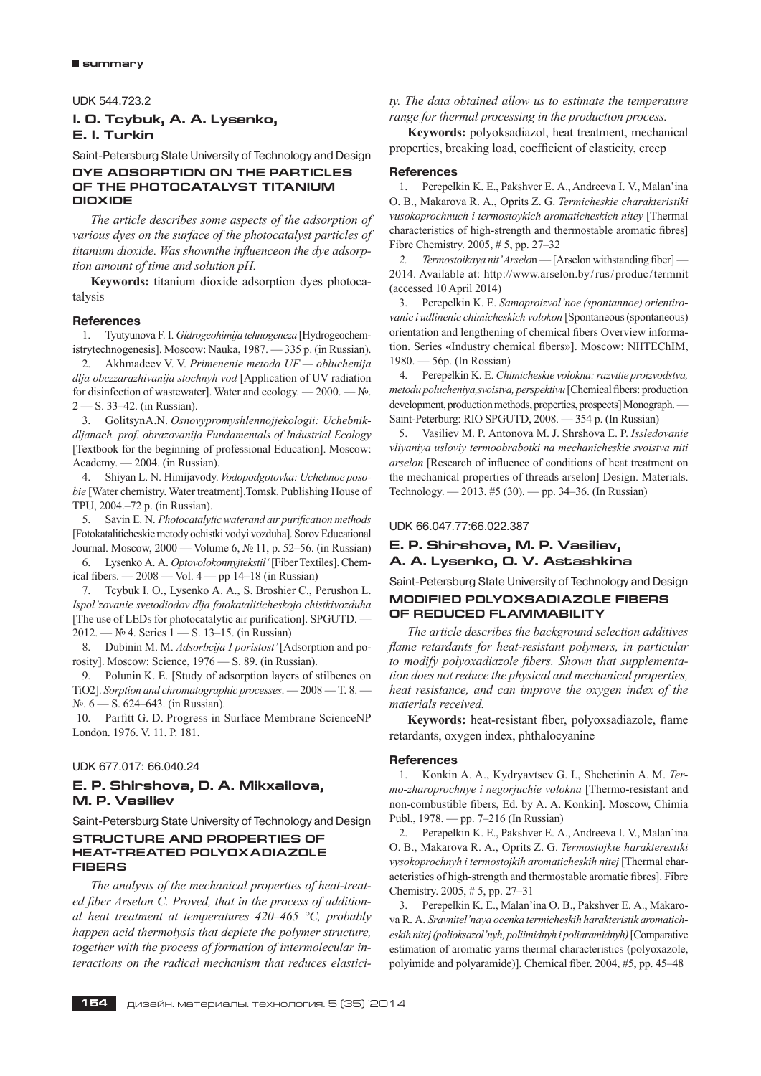UDK 544.723.2

# **I. O. Tcybuk, A. A. Lysenko, E. I. Turkin**

Saint-Petersburg State University of Technology and Design

## **DYE ADSORPTION ON THE PARTICLES OF THE PHOTOCATALYST TITANIUM DIOXIDE**

*The article describes some aspects of the adsorption of various dyes on the surface of the photocatalyst particles of*  titanium dioxide. Was shownthe influenceon the dye adsorp*tion amount of time and solution pH.*

**Keywords:** titanium dioxide adsorption dyes photocatalysis

#### **References**

1. Tyutyunova F. I. *Gidrogeohimija tehnogeneza* [Hydrogeochemistrytechnogenesis]. Moscow: Nauka, 1987. — 335 p. (in Russian).

2. Akhmadeev V. V. *Primenenie metoda UF — obluchenija dlja obezzarazhivanija stochnyh vod* [Application of UV radiation for disinfection of wastewater]. Water and ecology. — 2000. — №. 2 — S. 33–42. (in Russian).

3. GolitsynA.N. *Osnovypromyshlennojjekologii: Uchebnikdljanach. prof. obrazovanija Fundamentals of Industrial Ecology*  [Textbook for the beginning of professional Education]. Moscow: Academy. — 2004. (in Russian).

4. Shiyan L. N. Himijavody. *Vodopodgotovka: Uchebnoe posobie* [Water chemistry. Water treatment].Tomsk. Publishing House of TPU, 2004.–72 p. (in Russian).

5. Savin E. N. *Photocatalytic waterand air purification methods*  [Fotokataliticheskie metody ochistki vodyi vozduha]. Sorov Educational Journal. Moscow, 2000 — Volume 6, № 11, p. 52–56. (in Russian)

6. Lysenko A. A. *Optovolokonnyjtekstil'* [Fiber Textiles]. Chemical fibers.  $-2008 -$  Vol.  $4 -$  pp 14–18 (in Russian)

7. Tcybuk I. O., Lysenko A. A., S. Broshier C., Perushon L. *Ispol'zovanie svetodiodov dlja fotokataliticheskojo chistkivozduha*  [The use of LEDs for photocatalytic air purification]. SPGUTD. — 2012. — № 4. Series 1 — S. 13–15. (in Russian)

8. Dubinin M. M. *Adsorbcija I poristost'* [Adsorption and porosity]. Moscow: Science, 1976 — S. 89. (in Russian).

9. Polunin K. E. [Study of adsorption layers of stilbenes on TiO2]. *Sorption and chromatographic processes*. — 2008 — T. 8. — №. 6 — S. 624–643. (in Russian).

10. Parfitt G. D. Progress in Surface Membrane ScienceNP London. 1976. V. 11. P. 181.

# UDK 677.017: 66.040.24

# **E. P. Shirshova, D. A. Mikxailova, M. P. Vasiliev**

Saint-Petersburg State University of Technology and Design **STRUCTURE AND PROPERTIES OF HEAT-TREATED POLYOXADIAZOLE** 

# **FIBERS**

*The analysis of the mechanical properties of heat-treat*ed fiber Arselon C. Proved, that in the process of addition*al heat treatment at temperatures 420–465 °С, probably happen acid thermolysis that deplete the polymer structure, together with the process of formation of intermolecular interactions on the radical mechanism that reduces elastici-* *ty. The data obtained allow us to estimate the temperature range for thermal processing in the production process.*

**Keywords:** polyoksadiazol, heat treatment, mechanical properties, breaking load, coefficient of elasticity, creep

#### **References**

1. Perepelkin K. E., Pakshver E. A., Andreeva I. V., Malan'ina O. B., Makarova R. A., Oprits Z. G. *Termicheskie charakteristiki vusokoprochnuch i termostoykich aromaticheskich nitey* [Thermal characteristics of high-strength and thermostable aromatic fibres] Fibre Chemistry. 2005, # 5, pp. 27–32

*2. Termostoikaya nit' Arselo*n — [Arselon withstanding fiber] — 2014. Available at: http://www.arselon.by/rus/produc/termnit (accessed 10 April 2014)

3. Perepelkin K. E. *Samoproizvol'noe (spontannoe) orientirovanie i udlinenie chimicheskich volokon* [Spontaneous (spontaneous) orientation and lengthening of chemical fibers Overview information. Series «Industry chemical fibers»]. Moscow: NIITEChIM, 1980. — 56p. (In Rossian)

4. Perepelkin K. E. *Chimicheskie volokna: razvitie proizvodstva, metodu polucheniya,svoistva, perspektivu* [Chemical fibers: production development, production methods, properties, prospects] Monograph. Saint-Peterburg: RIO SPGUTD, 2008. — 354 p. (In Russian)

5. Vasiliev M. P. Antonova M. J. Shrshova E. P. *Issledovanie vliyaniya usloviy termoobrabotki na mechanicheskie svoistva niti arselon* [Research of influence of conditions of heat treatment on the mechanical properties of threads arselon] Design. Materials. Technology. — 2013. #5 (30). — pp. 34–36. (In Russian)

#### UDK 66.047.77:66.022.387

# **E. P. Shirshova, M. P. Vasiliev, A. A. Lysenko, O. V. Astashkina**

Saint-Petersburg State University of Technology and Design

# **MODIFIED POLYOXSADIAZOLE FIBERS OF REDUCED FLAMMABILITY**

*The article describes the background selection additives flame retardants for heat-resistant polymers, in particular* to modify polyoxadiazole fibers. Shown that supplementa*tion does not reduce the physical and mechanical properties, heat resistance, and can improve the oxygen index of the materials received.*

Keywords: heat-resistant fiber, polyoxsadiazole, flame retardants, oxygen index, phthalocyanine

## **References**

1. Konkin A. A., Kydryavtsev G. I., Shchetinin A. M. *Termo-zharoprochnye i negorjuchie volokna* [Thermo-resistant and non-combustible fibers, Ed. by A. A. Konkin]. Moscow, Chimia Publ., 1978. — pp. 7–216 (In Russian)

2. Perepelkin K. E., Pakshver E. A., Andreeva I. V., Malan'ina O. B., Makarova R. A., Oprits Z. G. *Termostojkie harakterestiki vysokoprochnyh i termostojkih aromaticheskih nitej* [Thermal characteristics of high-strength and thermostable aromatic fibres]. Fibre Chemistry. 2005, # 5, pp. 27–31

3. Perepelkin K. E., Malan'ina O. B., Pakshver E. A., Makarova R. A. *Sravnitel'naya ocenka termicheskih harakteristik aromaticheskih nitej (polioksazol'nyh, poliimidnyh i poliaramidnyh)* [Comparative estimation of aromatic yarns thermal characteristics (polyoxazole, polyimide and polyaramide)]. Chemical fiber. 2004, #5, pp. 45–48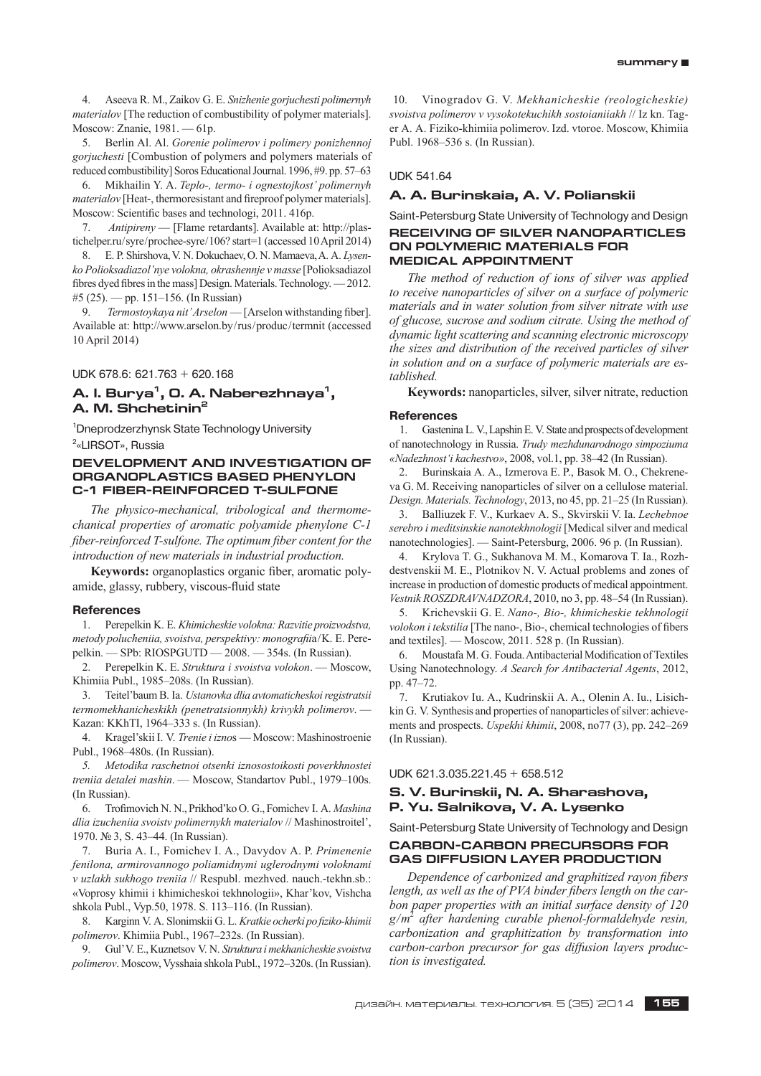4. Aseeva R. M., Zaikov G. E. *Snizhenie gorjuchesti polimernyh materialov* [The reduction of combustibility of polymer materials]. Moscow: Znanie, 1981. — 61p.

5. Berlin Al. Al. *Gorenie polimerov i polimery ponizhennoj gorjuchesti* [Combustion of polymers and polymers materials of reduced combustibility] Soros Educational Journal. 1996, #9. pp. 57–63

6. Mikhailin Y. A. *Teplo-, termo- i ognestojkost' polimernyh materialov* [Heat-, thermoresistant and fireproof polymer materials]. Moscow: Scientific bases and technologi, 2011. 416p.

7. *Antipireny* — [Flame retardants]. Available at: http://plastichelper.ru/syre/prochee-syre/106? start=1 (accessed 10 April 2014)

8. E. P. Shirshova, V. N. Dokuchaev, O. N. Mamaeva, A. A. *Lysenko Polioksadiazol'nye volokna, okrashennje v masse* [Polioksadiazol fibres dyed fibres in the mass] Design. Materials. Technology. — 2012. #5 (25). — pp. 151–156. (In Russian)

9. *Termostoykaya nit' Arselon* — [Arselon withstanding fiber]. Available at: http://www.arselon.by/rus/produc/termnit (accessed 10 April 2014)

UDK 678.6: 621.763 + 620.168

# A. I. Burya<sup>1</sup>, O. A. Naberezhnaya<sup>1</sup>, **A. M. Shchetinin2**

1 Dneprodzerzhynsk State Technology University 2 «LIRSOT», Russia

# **DEVELOPMENT AND INVESTIGATION OF ORGANOPLASTICS BASED PHENYLON C-1 FIBER-REINFORCED T-SULFONE**

*The physico-mechanical, tribological and thermomechanical properties of aromatic polyamide phenylone C-1 fiber-reinforced T-sulfone. The optimum fiber content for the introduction of new materials in industrial production.*

**Keywords:** organoplastics organic fiber, aromatic polyamide, glassy, rubbery, viscous-fluid state

#### **References**

1. Perepelkin K. E. *Khimicheskie volokna: Razvitie proizvodstva, metody polucheniia, svoistva, perspektivy: monografii*a/K. E. Perepelkin. — SPb: RIOSPGUTD — 2008. — 354s. (In Russian).

2. Perepelkin K. E. *Struktura i svoistva volokon*. — Moscow, Khimiia Publ., 1985–208s. (In Russian).

3. Teitel'baum B. Ia. *Ustanovka dlia avtomaticheskoi registratsii termomekhanicheskikh (penetratsionnykh) krivykh polimerov*. — Kazan: KKhTI, 1964–333 s. (In Russian).

4. Kragel'skii I. V. *Trenie i izno*s — Moscow: Mashinostroenie Publ., 1968–480s. (In Russian).

*5. Metodika raschetnoi otsenki iznosostoikosti poverkhnostei treniia detalei mashin*. — Moscow, Standartov Publ., 1979–100s. (In Russian).

6. Trofimovich N. N., Prikhod'ko O. G., Fomichev I. A. *Mashina dlia izucheniia svoistv polimernykh materialov* // Mashinostroitel', 1970. № 3, S. 43–44. (In Russian).

7. Buria A. I., Fomichev I. A., Davydov A. P. *Primenenie fenilona, armirovannogo poliamidnymi uglerodnymi voloknami v uzlakh sukhogo treniia* // Respubl. mezhved. nauch.-tekhn.sb.: «Voprosy khimii i khimicheskoi tekhnologii», Khar'kov, Vishcha shkola Publ., Vyp.50, 1978. S. 113–116. (In Russian).

8. Karginn V. A. Slonimskii G. L. *Kratkie ocherki po fiziko-khimii polimerov*. Khimiia Publ., 1967–232s. (In Russian).

9. Gul' V. E., Kuznetsov V. N. *Struktura i mekhanicheskie svoistva polimerov*. Moscow, Vysshaia shkola Publ., 1972–320s. (In Russian).

10. Vinogradov G. V. *Mekhanicheskie (reologicheskie) svoistva polimerov v vysokotekuchikh sostoianiiakh* // Iz kn. Tager A. A. Fiziko-khimiia polimerov. Izd. vtoroe. Moscow, Khimiia Publ. 1968–536 s. (In Russian).

#### UDK 541.64

# **A. A. Burinskaia, A. V. Polianskii**

Saint-Petersburg State University of Technology and Design **RECEIVING OF SILVER NANOPARTICLES ON POLYMERIC MATERIALS FOR MEDICAL APPOINTMENT**

*The method of reduction of ions of silver was applied to receive nanoparticles of silver on a surface of polymeric materials and in water solution from silver nitrate with use of glucose, sucrose and sodium citrate. Using the method of dynamic light scattering and scanning electronic microscopy the sizes and distribution of the received particles of silver in solution and on a surface of polymeric materials are established.*

**Keywords:** nanoparticles, silver, silver nitrate, reduction

## **References**

1. Gastenina L. V., Lapshin E. V. State and prospects of development of nanotechnology in Russia. *Trudy mezhdunarodnogo simpoziuma «Nadezhnost'i kachestvo»*, 2008, vol.1, pp. 38–42 (In Russian).

2. Burinskaia A. A., Izmerova E. P., Basok M. O., Chekreneva G. M. Receiving nanoparticles of silver on a cellulose material. *Design. Materials. Technology*, 2013, no 45, pp. 21–25 (In Russian).

3. Balliuzek F. V., Kurkaev A. S., Skvirskii V. Ia. *Lechebnoe serebro i meditsinskie nanotekhnologii* [Medical silver and medical nanotechnologies]. — Saint-Petersburg, 2006. 96 p. (In Russian).

4. Krylova T. G., Sukhanova M. M., Komarova T. Ia., Rozhdestvenskii M. E., Plotnikov N. V. Actual problems and zones of increase in production of domestic products of medical appointment. *Vestnik ROSZDRAVNADZORA*, 2010, no 3, pp. 48–54 (In Russian).

5. Krichevskii G. E. *Nano-, Bio-, khimicheskie tekhnologii volokon i tekstilia* [The nano-, Bio-, chemical technologies of fibers and textiles]. — Moscow, 2011. 528 p. (In Russian).

6. Moustafa M. G. Fouda. Antibacterial Modification of Textiles Using Nanotechnology. *A Search for Antibacterial Agents*, 2012, pp. 47–72.

7. Krutiakov Iu. A., Kudrinskii A. A., Olenin A. Iu., Lisichkin G. V. Synthesis and properties of nanoparticles of silver: achievements and prospects. *Uspekhi khimii*, 2008, no77 (3), pp. 242–269 (In Russian).

#### UDK 621.3.035.221.45 + 658.512

# **S. V. Burinskii, N. A. Sharashova, P. Yu. Salnikova, V. A. Lysenko**

Saint-Petersburg State University of Technology and Design **CARBON-CARBON PRECURSORS FOR** 

# **GAS DIFFUSION LAYER PRODUCTION**

*Dependence of carbonized and graphitized rayon fibers* length, as well as the of PVA binder fibers length on the car*bon paper properties with an initial surface density of 120 g/m*<sup>2</sup>  *after hardening curable phenol-formaldehyde resin, carbonization and graphitization by transformation into carbon-carbon precursor for gas diffusion layers production is investigated.*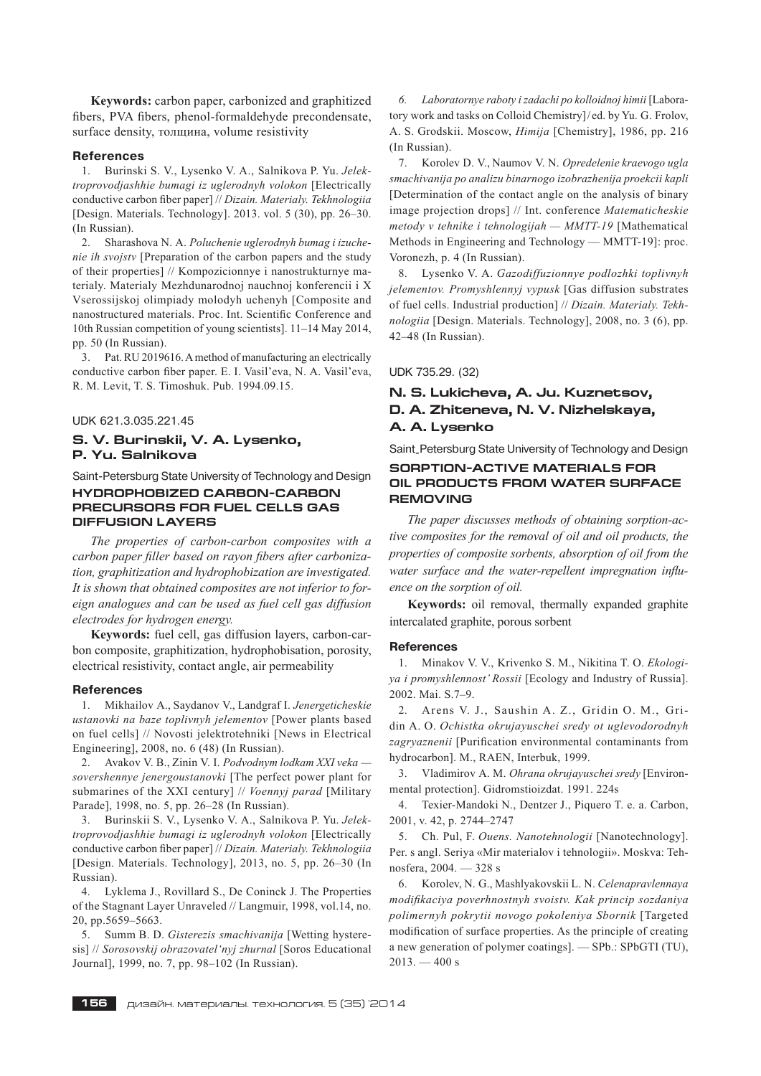**Keywords:** carbon paper, carbonized and graphitized fibers, PVA fibers, phenol-formaldehyde precondensate, surface density, толщина, volume resistivity

#### **References**

1. Burinski S. V., Lysenko V. A., Salnikova P. Yu. *Jelektroprovodjashhie bumagi iz uglerodnyh volokon* [Electrically conductive carbon fiber paper] // *Dizain. Materialy. Tekhnologiia*  [Design. Materials. Technology]. 2013. vol. 5 (30), pp. 26–30. (In Russian).

2. Sharashova N. A. *Poluchenie uglerodnyh bumag i izuchenie ih svojstv* [Preparation of the carbon papers and the study of their properties] // Kompozicionnye i nanostrukturnye materialy. Materialy Mezhdunarodnoj nauchnoj konferencii i X Vserossijskoj olimpiady molodyh uchenyh [Composite and nanostructured materials. Proc. Int. Scientific Conference and 10th Russian competition of young scientists]. 11–14 May 2014, pp. 50 (In Russian).

3. Pat. RU 2019616. A method of manufacturing an electrically conductive carbon fiber paper. E. I. Vasil'eva, N. A. Vasil'eva, R. M. Levit, T. S. Timoshuk. Pub. 1994.09.15.

UDK 621.3.035.221.45

# **S. V. Burinskii, V. A. Lysenko, P. Yu. Salnikova**

Saint-Petersburg State University of Technology and Design **HYDROPHOBIZED CARBON-CARBON PRECURSORS FOR FUEL CELLS GAS DIFFUSION LAYERS**

*The properties of carbon-carbon composites with a*  carbon paper filler based on rayon fibers after carboniza*tion, graphitization and hydrophobization are investigated. It is shown that obtained composites are not inferior to foreign analogues and can be used as fuel cell gas diffusion electrodes for hydrogen energy.*

**Keywords:** fuel cell, gas diffusion layers, carbon-carbon composite, graphitization, hydrophobisation, porosity, electrical resistivity, contact angle, air permeability

#### **References**

1. Mikhailov A., Saydanov V., Landgraf I. *Jenergeticheskie ustanovki na baze toplivnyh jelementov* [Power plants based on fuel cells] // Novosti jelektrotehniki [News in Electrical Engineering], 2008, no. 6 (48) (In Russian).

2. Avakov V. B., Zinin V. I. *Podvodnym lodkam XXI veka sovershennye jenergoustanovki* [The perfect power plant for submarines of the XXI century] // *Voennyj parad* [Military Parade], 1998, no. 5, pp. 26–28 (In Russian).

3. Burinskii S. V., Lysenko V. A., Salnikova P. Yu. *Jelektroprovodjashhie bumagi iz uglerodnyh volokon* [Electrically conductive carbon fiber paper] // *Dizain. Materialy. Tekhnologiia* [Design. Materials. Technology], 2013, no. 5, pp. 26–30 (In Russian).

4. Lyklema J., Rovillard S., De Coninck J. The Properties of the Stagnant Layer Unraveled // Langmuir, 1998, vol.14, no. 20, pp.5659–5663.

5. Summ B. D. *Gisterezis smachivanija* [Wetting hysteresis] // *Sorosovskij obrazovatel'nyj zhurnal* [Soros Educational Journal], 1999, no. 7, pp. 98–102 (In Russian).

*6. Laboratornye raboty i zadachi po kolloidnoj himii* [Laboratory work and tasks on Colloid Chemistry]/ed. by Yu. G. Frolov, A. S. Grodskii. Moscow, *Himija* [Chemistry], 1986, pp. 216 (In Russian).

7. Korolev D. V., Naumov V. N. *Opredelenie kraevogo ugla smachivanija po analizu binarnogo izobrazhenija proekcii kapli*  [Determination of the contact angle on the analysis of binary image projection drops] // Int. conference *Matematicheskie metody v tehnike i tehnologijah — MMTT-19* [Mathematical Methods in Engineering and Technology — MMTT-19]: proc. Voronezh, p. 4 (In Russian).

8. Lysenko V. A. *Gazodiffuzionnye podlozhki toplivnyh jelementov. Promyshlennyj vypusk* [Gas diffusion substrates of fuel cells. Industrial production] // *Dizain. Materialy. Tekhnologiia* [Design. Materials. Technology], 2008, no. 3 (6), pp. 42–48 (In Russian).

UDK 735.29. (32)

# **N. S. Lukicheva, A. Ju. Kuznetsov, D. A. Zhiteneva, N. V. Nizhelskaya, A. A. Lysenko**

Saint-Petersburg State University of Technology and Design

# **SORPTION-ACTIVE MATERIALS FOR OIL PRODUCTS FROM WATER SURFACE REMOVING**

*The paper discusses methods of obtaining sorption-active composites for the removal of oil and oil products, the properties of composite sorbents, absorption of oil from the*  water surface and the water-repellent impregnation influ*ence on the sorption of oil.*

**Keywords:** oil removal, thermally expanded graphite intercalated graphite, porous sorbent

#### **References**

1. Minakov V. V., Krivenko S. M., Nikitina T. O. *Ekologiya i promyshlennost' Rossii* [Ecology and Industry of Russia]. 2002. Mai. S.7–9.

2. Arens V. J., Saushin A. Z., Gridin O. M., Gridin A. O. *Ochistka okrujayuschei sredy ot uglevodorodnyh zagryaznenii* [Purification environmental contaminants from hydrocarbon]. M., RAEN, Interbuk, 1999.

3. Vladimirov A. M. *Ohrana okrujayuschei sredy* [Environmental protection]. Gidromstioizdat. 1991. 224s

4. Texier-Mandoki N., Dentzer J., Piquero T. e. a. Carbon, 2001, v. 42, p. 2744–2747

5. Ch. Pul, F. *Ouens. Nanotehnologii* [Nanotechnology]. Per. s angl. Seriya «Mir materialov i tehnologii». Moskva: Tehnosfera, 2004. — 328 s

6. Korolev, N. G., Mashlyakovskii L. N. *Celenapravlennaya modifikaciya poverhnostnyh svoistv. Kak princip sozdaniya polimernyh pokrytii novogo pokoleniya Sbornik* [Targeted modification of surface properties. As the principle of creating a new generation of polymer coatings]. — SPb.: SPbGTI (TU),  $2013 - 400$  s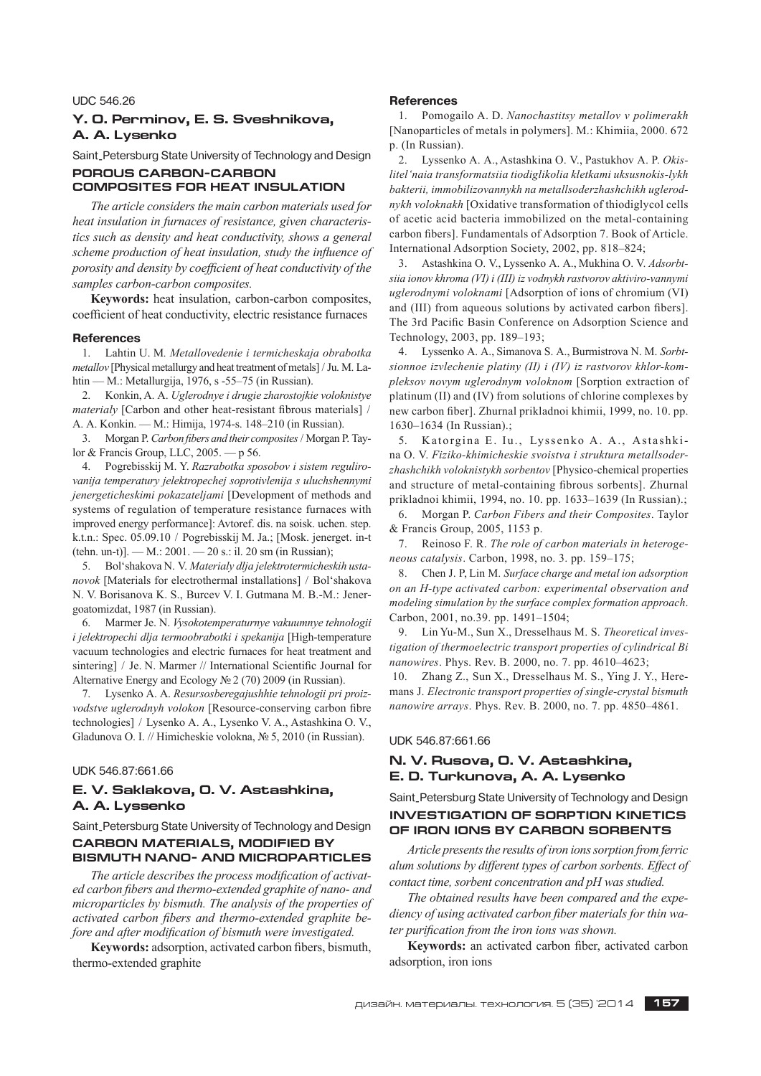### UDC 546.26

# **Y. O. Perminov, E. S. Sveshnikova, A. A. Lysenko**

Saint-Petersburg State University of Technology and Design **POROUS CARBON-CARBON** 

# **COMPOSITES FOR HEAT INSULATION**

*The article considers the main carbon materials used for heat insulation in furnaces of resistance, given characteristics such as density and heat conductivity, shows a general scheme production of heat insulation, study the influence of porosity and density by coefficient of heat conductivity of the samples carbon-carbon composites.*

**Keywords:** heat insulation, carbon-carbon composites, coefficient of heat conductivity, electric resistance furnaces

#### **References**

1. Lahtin U. M*. Metallovedenie i termicheskaja obrabotka metallov* [Physical metallurgy and heat treatment of metals] / Ju. M. Lahtin — M.: Metallurgija, 1976, s -55–75 (in Russian).

2. Konkin, A. A. *Uglerodnye i drugie zharostojkie voloknistye materialy* [Carbon and other heat-resistant fibrous materials] / A. A. Konkin. — M.: Himija, 1974-s. 148–210 (in Russian).

3. Morgan P. *Carbon fibers and their composites* / Morgan P. Taylor & Francis Group, LLC, 2005. — p 56.

4. Pogrebisskij M. Y. *Razrabotka sposobov i sistem regulirovanija temperatury jelektropechej soprotivlenija s uluchshennymi jenergeticheskimi pokazateljami* [Development of methods and systems of regulation of temperature resistance furnaces with improved energy performance]: Avtoref. dis. na soisk. uchen. step. k.t.n.: Spec. 05.09.10 / Pogrebisskij M. Ja.; [Mosk. jenerget. in-t (tehn. un-t)]. — M.: 2001. — 20 s.: il. 20 sm (in Russian);

5. Bol'shakova N. V. *Materialy dlja jelektrotermicheskih ustanovok* [Materials for electrothermal installations] / Bol'shakova N. V. Borisanova K. S., Burcev V. I. Gutmana M. B.-M.: Jenergoatomizdat, 1987 (in Russian).

6. Marmer Je. N. *Vysokotemperaturnye vakuumnye tehnologii i jelektropechi dlja termoobrabotki i spekanija* [High-temperature vacuum technologies and electric furnaces for heat treatment and sintering] / Je. N. Marmer // International Scientific Journal for Alternative Energy and Ecology № 2 (70) 2009 (in Russian).

7. Lysenko A. A. *Resursosberegajushhie tehnologii pri proizvodstve uglerodnyh volokon* [Resource-conserving carbon fibre technologies] / Lysenko A. A., Lysenko V. A., Astashkina O. V., Gladunova O. I. // Himicheskie volokna, № 5, 2010 (in Russian).

#### UDK 546.87:661.66

# **E. V. Saklakova, O. V. Astashkina, A. A. Lyssenko**

Saint-Petersburg State University of Technology and Design

# **CARBON MATERIALS, MODIFIED BY BISMUTH NANO- AND MICROPARTICLES**

The article describes the process modification of activated carbon fibers and thermo-extended graphite of nano- and *microparticles by bismuth. The analysis of the properties of*  activated carbon fibers and thermo-extended graphite be*fore and after modification of bismuth were investigated.* 

**Keywords:** adsorption, activated carbon fibers, bismuth, thermo-extended graphite

#### **References**

1. Pomogailo A. D. *Nanochastitsy metallov v polimerakh*  [Nanoparticles of metals in polymers]. M.: Khimiia, 2000. 672 р. (In Russian).

2. Lyssenko A. A., Astashkina O. V., Pastukhov A. P. *Okislitel'naia transformatsiia tiodiglikolia kletkami uksusnokis-lykh bakterii, immobilizovannykh na metallsoderzhashchikh uglerodnykh voloknakh* [Oxidative transformation of thiodiglycol cells of acetic acid bacteria immobilized on the metal-containing carbon fibers]. Fundamentals of Adsorption 7. Book of Article. International Adsorption Society, 2002, pp. 818–824;

3. Astashkina O. V., Lyssenko A. A., Mukhina O. V. *Adsorbtsiia ionov khroma (VI) i (III) iz vodnykh rastvorov aktiviro-vannymi uglerodnymi voloknami* [Adsorption of ions of chromium (VI) and (III) from aqueous solutions by activated carbon fibers]. The 3rd Pacific Basin Conference on Adsorption Science and Technology, 2003, pp. 189–193;

4. Lyssenko A. A., Simanova S. A., Burmistrova N. M. *Sorbtsionnoe izvlechenie platiny (II) i (IV) iz rastvorov khlor-kompleksov novym uglerodnym voloknom* [Sorption extraction of platinum (II) and (IV) from solutions of chlorine complexes by new carbon fiber]. Zhurnal prikladnoi khimii, 1999, no. 10. pp. 1630–1634 (In Russian).;

5. Katorgina E. Iu., Lyssenko A. A., Astashkina O. V. *Fiziko-khimicheskie svoistva i struktura metallsoderzhashchikh voloknistykh sorbentov* [Physico-chemical properties and structure of metal-containing fibrous sorbents]. Zhurnal prikladnoi khimii, 1994, no. 10. pp. 1633–1639 (In Russian).;

6. Morgan P. *Carbon Fibers and their Composites*. Taylor & Francis Group, 2005, 1153 р.

7. Reinoso F. R. *The role of carbon materials in heterogeneous catalysis*. Carbon, 1998, no. 3. pp. 159–175;

8. Chen J. P, Lin M. *Surface charge and metal ion adsorption on an H-type activated carbon: experimental observation and modeling simulation by the surface complex formation approach*. Carbon, 2001, no.39. pp. 1491–1504;

9. Lin Yu-M., Sun X., Dresselhaus M. S. *Theoretical investigation of thermoelectric transport properties of cylindrical Bi nanowires*. Phys. Rev. B. 2000, no. 7. pp. 4610–4623;

10. Zhang Z., Sun X., Dresselhaus M. S., Ying J. Y., Heremans J. *Electronic transport properties of single-crystal bismuth nanowire arrays*. Phys. Rev. B. 2000, no. 7. pp. 4850–4861.

#### UDK 546.87:661.66

# **N. V. Rusova, O. V. Astashkina, E. D. Turkunova, A. A. Lysenko**

# Saint-Petersburg State University of Technology and Design **INVESTIGATION OF SORPTION KINETICS OF IRON IONS BY CARBON SORBENTS**

*Article presents the results of iron ions sorption from ferric alum solutions by different types of carbon sorbents. Effect of contact time, sorbent concentration and pH was studied.*

*The obtained results have been compared and the expe*diency of using activated carbon fiber materials for thin water purification from the iron ions was shown.

Keywords: an activated carbon fiber, activated carbon adsorption, iron ions